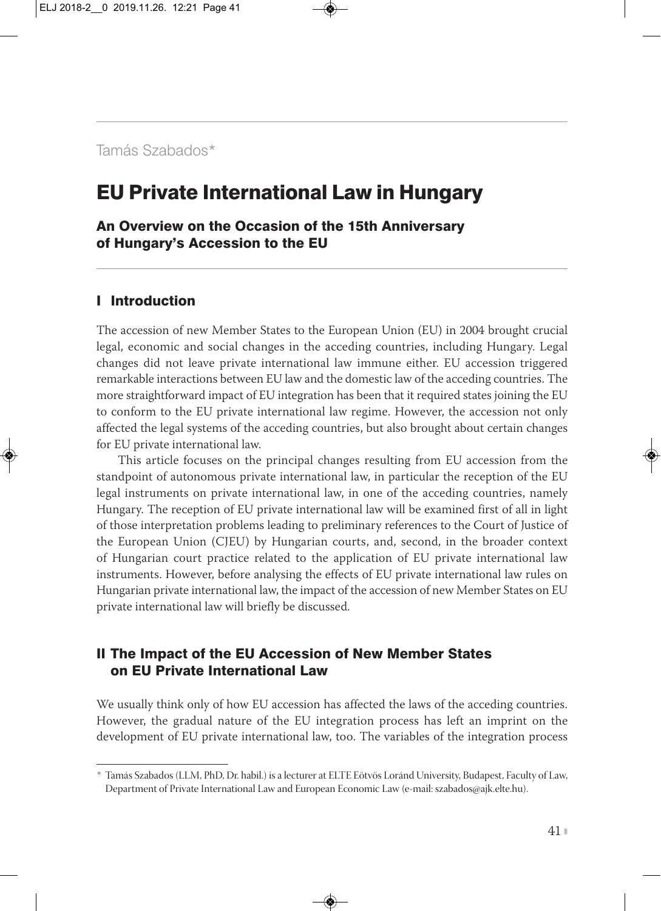# EU Private International Law in Hungary

An Overview on the Occasion of the 15th Anniversary of Hungary's Accession to the EU

#### I Introduction

The accession of new Member States to the European Union (EU) in 2004 brought crucial legal, economic and social changes in the acceding countries, including Hungary. Legal changes did not leave private international law immune either. EU accession triggered remarkable interactions between EU law and the domestic law of the acceding countries. The more straightforward impact of EU integration has been that it required states joining the EU to conform to the EU private international law regime. However, the accession not only affected the legal systems of the acceding countries, but also brought about certain changes for EU private international law.

This article focuses on the principal changes resulting from EU accession from the standpoint of autonomous private international law, in particular the reception of the EU legal instruments on private international law, in one of the acceding countries, namely Hungary. The reception of EU private international law will be examined first of all in light of those interpretation problems leading to preliminary references to the Court of Justice of the European Union (CJEU) by Hungarian courts, and, second, in the broader context of Hungarian court practice related to the application of EU private international law instruments. However, before analysing the effects of EU private international law rules on Hungarian private international law, the impact of the accession of new Member States on EU private international law will briefly be discussed.

## II The Impact of the EU Accession of New Member States on EU Private International Law

We usually think only of how EU accession has affected the laws of the acceding countries. However, the gradual nature of the EU integration process has left an imprint on the development of EU private international law, too. The variables of the integration process

*<sup>\*</sup>* Tamás Szabados (LLM, PhD, Dr. habil.) is a lecturer at ELTE Eötvös Loránd University, Budapest, Faculty of Law, Department of Private International Law and European Economic Law (e-mail: szabados@ajk.elte.hu).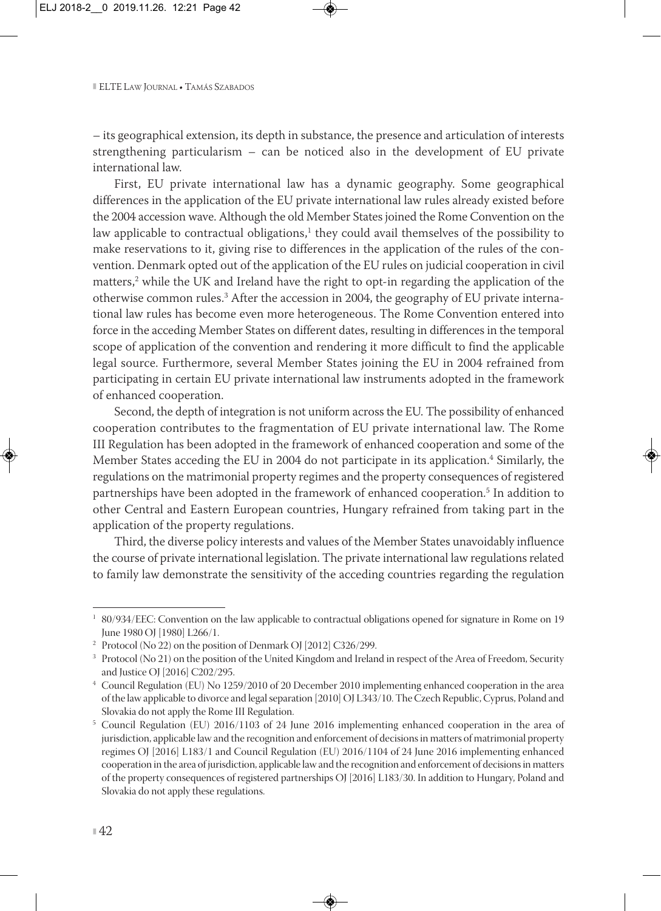– its geographical extension, its depth in substance, the presence and articulation of interests strengthening particularism – can be noticed also in the development of EU private international law.

First, EU private international law has a dynamic geography. Some geographical differences in the application of the EU private international law rules already existed before the 2004 accession wave. Although the old Member States joined the Rome Convention on the law applicable to contractual obligations, $<sup>1</sup>$  they could avail themselves of the possibility to</sup> make reservations to it, giving rise to differences in the application of the rules of the convention. Denmark opted out of the application of the EU rules on judicial cooperation in civil matters, $2$  while the UK and Ireland have the right to opt-in regarding the application of the otherwise common rules.3 After the accession in 2004, the geography of EU private interna tional law rules has become even more heterogeneous. The Rome Convention entered into force in the acceding Member States on different dates, resulting in differences in the temporal scope of application of the convention and rendering it more difficult to find the applicable legal source. Furthermore, several Member States joining the EU in 2004 refrained from participating in certain EU private international law instruments adopted in the framework of enhanced cooperation.

Second, the depth of integration is not uniform across the EU. The possibility of enhanced cooperation contributes to the fragmentation of EU private international law. The Rome III Regulation has been adopted in the framework of enhanced cooperation and some of the Member States acceding the EU in 2004 do not participate in its application.<sup>4</sup> Similarly, the regulations on the matrimonial property regimes and the property consequences of registered partnerships have been adopted in the framework of enhanced cooperation.<sup>5</sup> In addition to other Central and Eastern European countries, Hungary refrained from taking part in the application of the property regulations.

Third, the diverse policy interests and values of the Member States unavoidably influence the course of private international legislation. The private international law regulations related to family law demonstrate the sensitivity of the acceding countries regarding the regulation

<sup>1</sup> 80/934/EEC: Convention on the law applicable to contractual obligations opened for signature in Rome on 19 June 1980 OJ [1980] L266/1.

<sup>2</sup> Protocol (No 22) on the position of Denmark OJ [2012] C326/299.

<sup>&</sup>lt;sup>3</sup> Protocol (No 21) on the position of the United Kingdom and Ireland in respect of the Area of Freedom, Security and Justice OJ [2016] C202/295.

<sup>4</sup> Council Regulation (EU) No 1259/2010 of 20 December 2010 implementing enhanced cooperation in the area of the law applicable to divorce and legal separation [2010] OJ L343/10. The Czech Republic, Cyprus, Poland and Slovakia do not apply the Rome III Regulation.

<sup>5</sup> Council Regulation (EU) 2016/1103 of 24 June 2016 implementing enhanced cooperation in the area of jurisdiction, applicable law and the recognition and enforcement of decisions in matters of matrimonial property regimes OJ [2016] L183/1 and Council Regulation (EU) 2016/1104 of 24 June 2016 implementing enhanced cooperation in the area of jurisdiction, applicable law and the recognition and enforcement of decisions in matters of the property consequences of registered partnerships OJ [2016] L183/30. In addition to Hungary, Poland and Slovakia do not apply these regulations.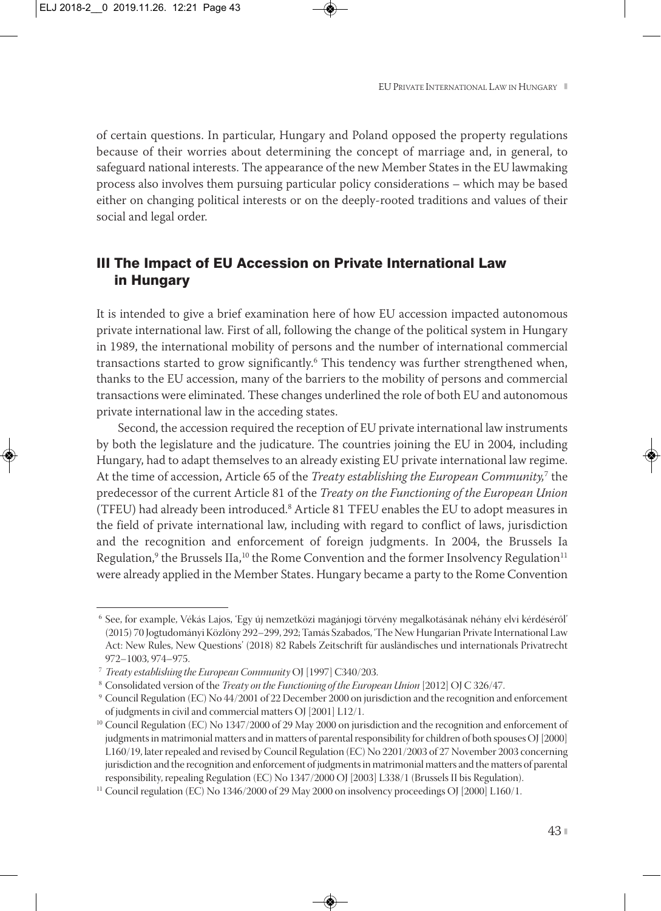of certain questions. In particular, Hungary and Poland opposed the property regulations because of their worries about determining the concept of marriage and, in general, to safeguard national interests. The appearance of the new Member States in the EU lawmaking process also involves them pursuing particular policy considerations – which may be based either on changing political interests or on the deeply-rooted traditions and values of their social and legal order.

## III The Impact of EU Accession on Private International Law in Hungary

It is intended to give a brief examination here of how EU accession impacted autonomous private international law. First of all, following the change of the political system in Hungary in 1989, the international mobility of persons and the number of international commercial transactions started to grow significantly.<sup>6</sup> This tendency was further strengthened when, thanks to the EU accession, many of the barriers to the mobility of persons and commercial transactions were eliminated. These changes underlined the role of both EU and autonomous private international law in the acceding states.

Second, the accession required the reception of EU private international law instruments by both the legislature and the judicature. The countries joining the EU in 2004, including Hungary, had to adapt themselves to an already existing EU private international law regime. At the time of accession, Article 65 of the *Treaty establishing the European Community,*<sup>7</sup> the predecessor of the current Article 81 of the *Treaty on the Functioning of the European Union* (TFEU) had already been introduced.8 Article 81 TFEU enables the EU to adopt measures in the field of private international law, including with regard to conflict of laws, jurisdiction and the recognition and enforcement of foreign judgments. In 2004, the Brussels Ia Regulation,<sup>9</sup> the Brussels IIa,<sup>10</sup> the Rome Convention and the former Insolvency Regulation<sup>11</sup> were already applied in the Member States. Hungary became a party to the Rome Convention

<sup>6</sup> See, for example, Vékás Lajos, 'Egy új nemzetközi magánjogi törvény megalkotásának néhány elvi kérdéséről' (2015) 70 Jogtudományi Közlöny 292–299, 292; Tamás Szabados, 'The New Hungarian Private International Law Act: New Rules, New Questions' (2018) 82 Rabels Zeitschrift für ausländisches und internationals Privatrecht 972–1003, 974–975.

<sup>7</sup> *Treaty establishing the European Community* OJ [1997] C340/203.

<sup>8</sup> Consolidated version of the *Treaty on the Functioning of the European Union* [2012] OJ C 326/47.

<sup>9</sup> Council Regulation (EC) No 44/2001 of 22 December 2000 on jurisdiction and the recognition and enforcement of judgments in civil and commercial matters OJ [2001] L12/1.

<sup>&</sup>lt;sup>10</sup> Council Regulation (EC) No 1347/2000 of 29 May 2000 on jurisdiction and the recognition and enforcement of judgments in matrimonial matters and in matters of parental responsibility for children of both spouses OJ [2000] L160/19, later repealed and revised by Council Regulation (EC) No 2201/2003 of 27 November 2003 concerning jurisdiction and the recognition and enforcement of judgments in matrimonial matters and the matters of parental responsibility, repealing Regulation (EC) No 1347/2000 OJ [2003] L338/1 (Brussels II bis Regulation).

<sup>&</sup>lt;sup>11</sup> Council regulation (EC) No 1346/2000 of 29 May 2000 on insolvency proceedings OJ [2000] L160/1.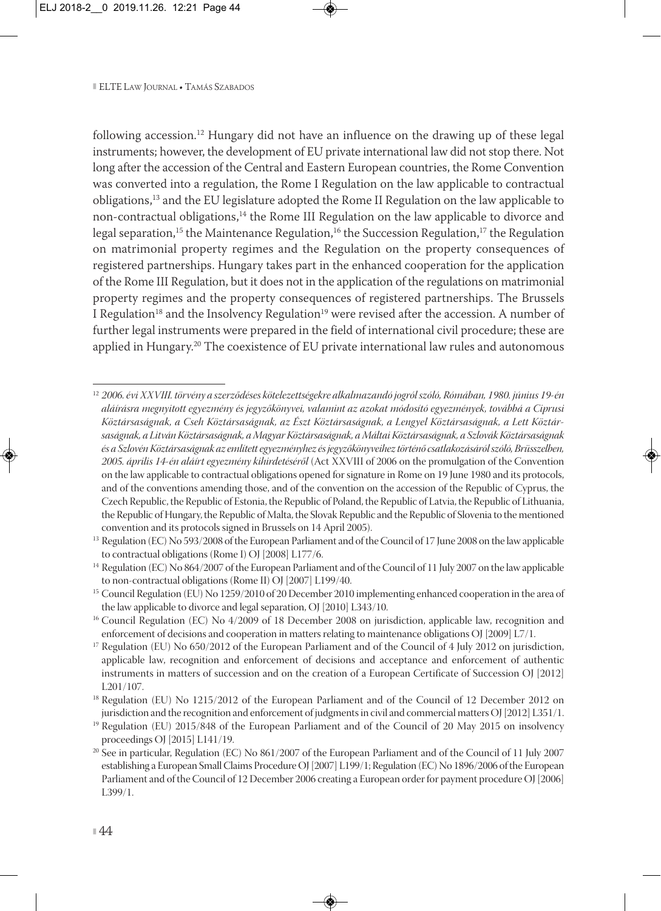following accession.<sup>12</sup> Hungary did not have an influence on the drawing up of these legal instruments; however, the development of EU private international law did not stop there. Not long after the accession of the Central and Eastern European countries, the Rome Convention was converted into a regulation, the Rome I Regulation on the law applicable to contractual obligations,13 and the EU legislature adopted the Rome II Regulation on the law applicable to non-contractual obligations,14 the Rome III Regulation on the law applicable to divorce and legal separation,<sup>15</sup> the Maintenance Regulation,<sup>16</sup> the Succession Regulation,<sup>17</sup> the Regulation on matrimonial property regimes and the Regulation on the property consequences of registered partnerships. Hungary takes part in the enhanced cooperation for the application of the Rome III Regulation, but it does not in the application of the regulations on matrimonial property regimes and the property consequences of registered partnerships. The Brussels I Regulation<sup>18</sup> and the Insolvency Regulation<sup>19</sup> were revised after the accession. A number of further legal instruments were prepared in the field of international civil procedure; these are applied in Hungary.<sup>20</sup> The coexistence of EU private international law rules and autonomous

<sup>12</sup> *2006. évi XXVIII. törvény a szerződéses kötelezettségekre alkalmazandó jogról szóló, Rómában, 1980. június 19-én aláírásra megnyitott egyezmény és jegyzőkönyvei, valamint az azokat módosító egyezmények, továbbá a Ciprusi Köztársaságnak, a Cseh Köztársaságnak, az Észt Köztársaságnak, a Lengyel Köztársaságnak, a Lett Köztár saságnak, a Litván Köztársaságnak, a Magyar Köztársaságnak, a Máltai Köztársaságnak, a Szlovák Köztársaságnak és a Szlovén Köztársaságnak az említett egyezményhez és jegyzőkönyveihez történő csatlakozásáról szóló, Brüsszelben, 2005. április 14-én aláírt egyezmény kihirdetéséről* (Act XXVIII of 2006 on the promulgation of the Convention on the law applicable to contractual obligations opened for signature in Rome on 19 June 1980 and its protocols, and of the conventions amending those, and of the convention on the accession of the Republic of Cyprus, the Czech Republic, the Republic of Estonia, the Republic of Poland, the Republic of Latvia, the Republic of Lithuania, the Republic of Hungary, the Republic of Malta, the Slovak Republic and the Republic of Slovenia to the mentioned convention and its protocols signed in Brussels on 14 April 2005).

<sup>&</sup>lt;sup>13</sup> Regulation (EC) No 593/2008 of the European Parliament and of the Council of 17 June 2008 on the law applicable to contractual obligations (Rome I) OJ [2008] L177/6.

<sup>&</sup>lt;sup>14</sup> Regulation (EC) No 864/2007 of the European Parliament and of the Council of 11 July 2007 on the law applicable to non-contractual obligations (Rome II) OJ [2007] L199/40.

<sup>15</sup> Council Regulation (EU) No 1259/2010 of 20 December 2010 implementing enhanced cooperation in the area of the law applicable to divorce and legal separation, OJ [2010] L343/10.

<sup>&</sup>lt;sup>16</sup> Council Regulation (EC) No 4/2009 of 18 December 2008 on jurisdiction, applicable law, recognition and enforcement of decisions and cooperation in matters relating to maintenance obligations OJ [2009] L7/1.

<sup>&</sup>lt;sup>17</sup> Regulation (EU) No  $650/2012$  of the European Parliament and of the Council of 4 July 2012 on jurisdiction, applicable law, recognition and enforcement of decisions and acceptance and enforcement of authentic instruments in matters of succession and on the creation of a European Certificate of Succession OJ [2012] L201/107.

<sup>&</sup>lt;sup>18</sup> Regulation (EU) No 1215/2012 of the European Parliament and of the Council of 12 December 2012 on jurisdiction and the recognition and enforcement of judgments in civil and commercial matters OJ [2012] L351/1.

<sup>&</sup>lt;sup>19</sup> Regulation (EU) 2015/848 of the European Parliament and of the Council of 20 May 2015 on insolvency proceedings OJ [2015] L141/19.

<sup>&</sup>lt;sup>20</sup> See in particular, Regulation (EC) No 861/2007 of the European Parliament and of the Council of 11 July 2007 establishing a European Small Claims Procedure OJ [2007] L199/1; Regulation (EC) No 1896/2006 of the European Parliament and of the Council of 12 December 2006 creating a European order for payment procedure OJ [2006] L399/1.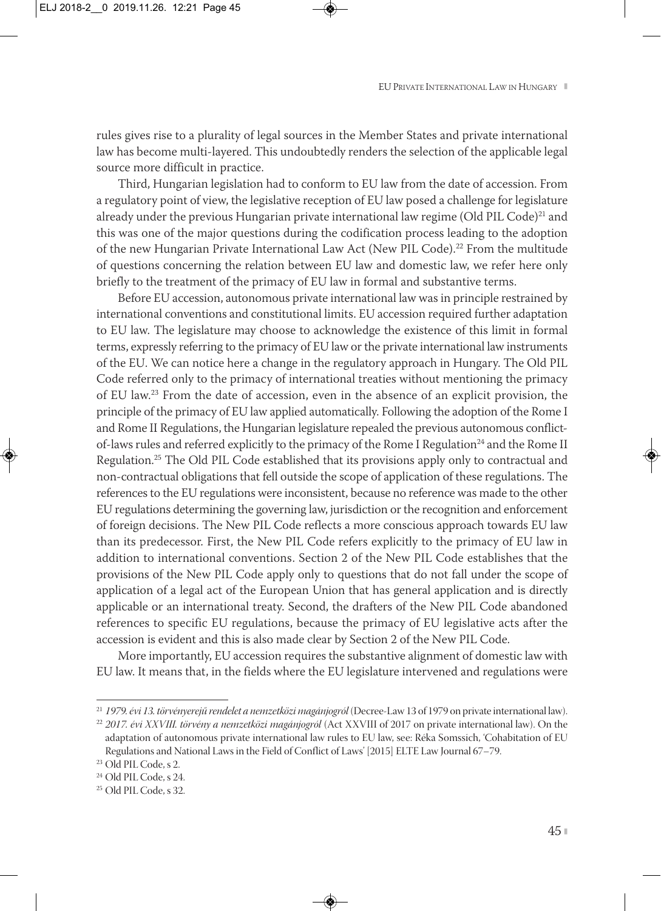rules gives rise to a plurality of legal sources in the Member States and private international law has become multi-layered. This undoubtedly renders the selection of the applicable legal source more difficult in practice.

Third, Hungarian legislation had to conform to EU law from the date of accession. From a regulatory point of view, the legislative reception of EU law posed a challenge for legislature already under the previous Hungarian private international law regime (Old PIL Code)<sup>21</sup> and this was one of the major questions during the codification process leading to the adoption of the new Hungarian Private International Law Act (New PIL Code).22 From the multitude of questions concerning the relation between EU law and domestic law, we refer here only briefly to the treatment of the primacy of EU law in formal and substantive terms.

Before EU accession, autonomous private international law was in principle restrained by international conventions and constitutional limits. EU accession required further adaptation to EU law. The legislature may choose to acknowledge the existence of this limit in formal terms, expressly referring to the primacy of EU law or the private international law instruments of the EU. We can notice here a change in the regulatory approach in Hungary. The Old PIL Code referred only to the primacy of international treaties without mentioning the primacy of EU law.23 From the date of accession, even in the absence of an explicit provision, the principle of the primacy of EU law applied automatically. Following the adoption of the Rome I and Rome II Regulations, the Hungarian legislature repealed the previous autonomous conflictof-laws rules and referred explicitly to the primacy of the Rome I Regulation<sup>24</sup> and the Rome II Regulation.25 The Old PIL Code established that its provisions apply only to contractual and non-contractual obligations that fell outside the scope of application of these regulations. The references to the EU regulations were inconsistent, because no reference was made to the other EU regulations determining the governing law, jurisdiction or the recognition and enforcement of foreign decisions. The New PIL Code reflects a more conscious approach towards EU law than its predecessor. First, the New PIL Code refers explicitly to the primacy of EU law in addition to international conventions. Section 2 of the New PIL Code establishes that the provisions of the New PIL Code apply only to questions that do not fall under the scope of application of a legal act of the European Union that has general application and is directly applicable or an international treaty. Second, the drafters of the New PIL Code abandoned references to specific EU regulations, because the primacy of EU legislative acts after the accession is evident and this is also made clear by Section 2 of the New PIL Code.

More importantly, EU accession requires the substantive alignment of domestic law with EU law. It means that, in the fields where the EU legislature intervened and regulations were

<sup>21</sup> *1979. évi 13. törvényerejű rendelet a nemzetközi magánjogról* (Decree-Law 13 of 1979 on private international law).

<sup>22</sup> *2017. évi XXVIII. törvény a nemzetközi magánjogról* (Act XXVIII of 2017 on private international law). On the adaptation of autonomous private international law rules to EU law, see: Réka Somssich, 'Cohabitation of EU Regulations and National Laws in the Field of Conflict of Laws' [2015] ELTE Law Journal 67–79.

<sup>23</sup> Old PIL Code, s 2.

<sup>24</sup> Old PIL Code, s 24.

<sup>25</sup> Old PIL Code, s 32.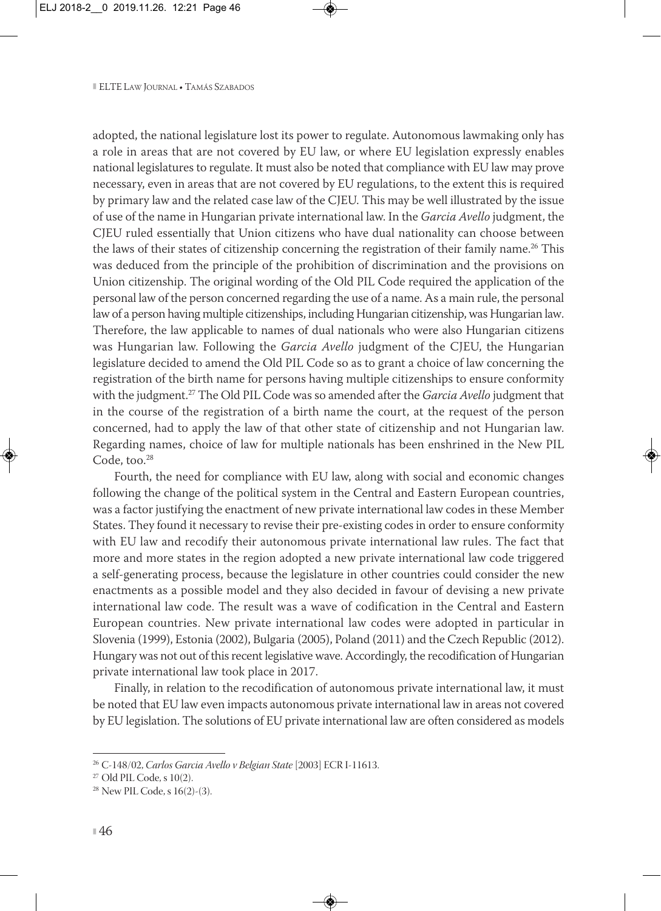adopted, the national legislature lost its power to regulate. Autonomous lawmaking only has a role in areas that are not covered by EU law, or where EU legislation expressly enables national legislatures to regulate. It must also be noted that compliance with EU law may prove necessary, even in areas that are not covered by EU regulations, to the extent this is required by primary law and the related case law of the CJEU. This may be well illustrated by the issue of use of the name in Hungarian private international law. In the *Garcia Avello* judgment, the CJEU ruled essentially that Union citizens who have dual nationality can choose between the laws of their states of citizenship concerning the registration of their family name.<sup>26</sup> This was deduced from the principle of the prohibition of discrimination and the provisions on Union citizenship. The original wording of the Old PIL Code required the application of the personal law of the person concerned regarding the use of a name. As a main rule, the personal law of a person having multiple citizenships, including Hungarian citizenship, was Hungarian law. Therefore, the law applicable to names of dual nationals who were also Hungarian citizens was Hungarian law. Following the *Garcia Avello* judgment of the CJEU, the Hungarian legislature decided to amend the Old PIL Code so as to grant a choice of law concerning the registration of the birth name for persons having multiple citizenships to ensure conformity with the judgment.27 The Old PIL Code was so amended after the *Garcia Avello* judgment that in the course of the registration of a birth name the court, at the request of the person concerned, had to apply the law of that other state of citizenship and not Hungarian law. Regarding names, choice of law for multiple nationals has been enshrined in the New PIL Code, too.<sup>28</sup>

Fourth, the need for compliance with EU law, along with social and economic changes following the change of the political system in the Central and Eastern European countries, was a factor justifying the enactment of new private international law codes in these Member States. They found it necessary to revise their pre-existing codes in order to ensure conformity with EU law and recodify their autonomous private international law rules. The fact that more and more states in the region adopted a new private international law code triggered a self-generating process, because the legislature in other countries could consider the new enactments as a possible model and they also decided in favour of devising a new private international law code. The result was a wave of codification in the Central and Eastern European countries. New private international law codes were adopted in particular in Slovenia (1999), Estonia (2002), Bulgaria (2005), Poland (2011) and the Czech Republic (2012). Hungary was not out of this recent legislative wave. Accordingly, the recodification of Hungarian private international law took place in 2017.

Finally, in relation to the recodification of autonomous private international law, it must be noted that EU law even impacts autonomous private international law in areas not covered by EU legislation. The solutions of EU private international law are often considered as models

<sup>26</sup> C-148/02, *Carlos Garcia Avello v Belgian State* [2003] ECR I-11613.

 $27$  Old PIL Code, s  $10(2)$ .

<sup>28</sup> New PIL Code, s 16(2)-(3).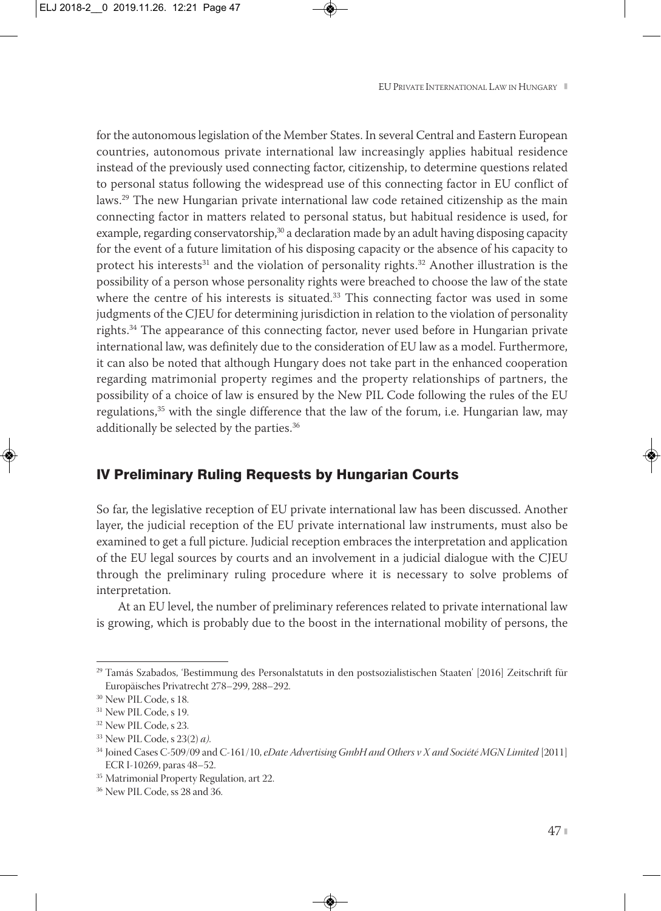for the autonomous legislation of the Member States. In several Central and Eastern European countries, autonomous private international law increasingly applies habitual residence instead of the previously used connecting factor, citizenship, to determine questions related to personal status following the widespread use of this connecting factor in EU conflict of laws.29 The new Hungarian private international law code retained citizenship as the main connecting factor in matters related to personal status, but habitual residence is used, for example, regarding conservatorship,<sup>30</sup> a declaration made by an adult having disposing capacity for the event of a future limitation of his disposing capacity or the absence of his capacity to protect his interests<sup>31</sup> and the violation of personality rights.<sup>32</sup> Another illustration is the possibility of a person whose personality rights were breached to choose the law of the state where the centre of his interests is situated. $33$  This connecting factor was used in some judgments of the CJEU for determining jurisdiction in relation to the violation of personality rights.34 The appearance of this connecting factor, never used before in Hungarian private international law, was definitely due to the consideration of EU law as a model. Furthermore, it can also be noted that although Hungary does not take part in the enhanced cooperation regarding matrimonial property regimes and the property relationships of partners, the possibility of a choice of law is ensured by the New PIL Code following the rules of the EU regulations, $35$  with the single difference that the law of the forum, i.e. Hungarian law, may additionally be selected by the parties.<sup>36</sup>

#### IV Preliminary Ruling Requests by Hungarian Courts

So far, the legislative reception of EU private international law has been discussed. Another layer, the judicial reception of the EU private international law instruments, must also be examined to get a full picture. Judicial reception embraces the interpretation and application of the EU legal sources by courts and an involvement in a judicial dialogue with the CJEU through the preliminary ruling procedure where it is necessary to solve problems of interpretation.

At an EU level, the number of preliminary references related to private international law is growing, which is probably due to the boost in the international mobility of persons, the

<sup>29</sup> Tamás Szabados, 'Bestimmung des Personalstatuts in den postsozialistischen Staaten' [2016] Zeitschrift für Europäisches Privatrecht 278–299, 288–292.

<sup>30</sup> New PIL Code, s 18.

<sup>&</sup>lt;sup>31</sup> New PIL Code, s 19.

<sup>&</sup>lt;sup>32</sup> New PIL Code, s 23.

<sup>33</sup> New PIL Code, s 23(2) *a)*.

<sup>34</sup> Joined Cases C-509/09 and C-161/10, *eDate Advertising GmbH and Others v X and Société MGN Limited* [2011] ECR I-10269, paras 48–52.

<sup>&</sup>lt;sup>35</sup> Matrimonial Property Regulation, art 22.

<sup>36</sup> New PIL Code, ss 28 and 36.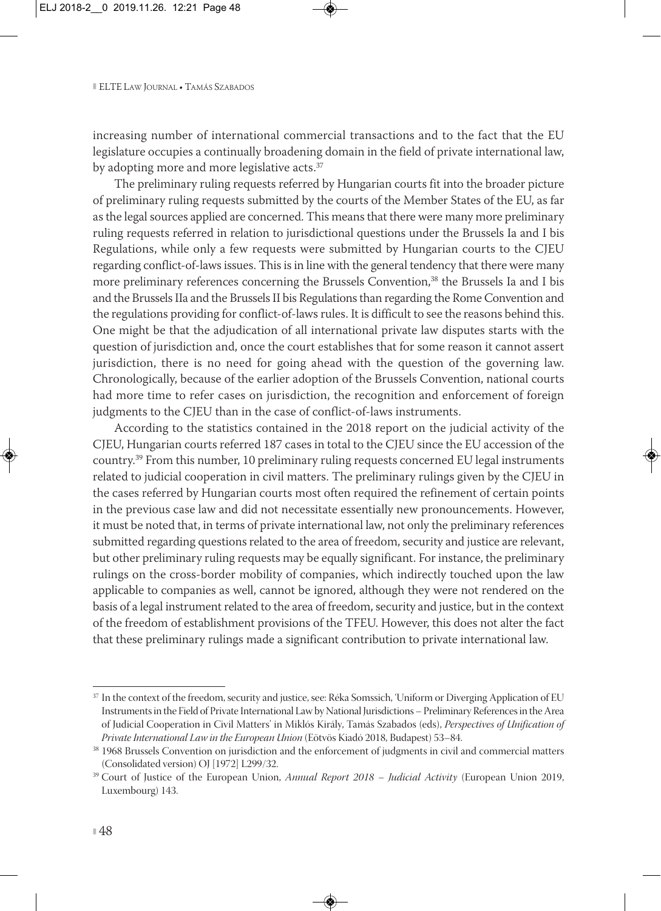increasing number of international commercial transactions and to the fact that the EU legislature occupies a continually broadening domain in the field of private international law, by adopting more and more legislative acts.<sup>37</sup>

The preliminary ruling requests referred by Hungarian courts fit into the broader picture of preliminary ruling requests submitted by the courts of the Member States of the EU, as far as the legal sources applied are concerned. This means that there were many more preliminary ruling requests referred in relation to jurisdictional questions under the Brussels Ia and I bis Regulations, while only a few requests were submitted by Hungarian courts to the CJEU regarding conflict-of-laws issues. This is in line with the general tendency that there were many more preliminary references concerning the Brussels Convention,<sup>38</sup> the Brussels Ia and I bis and the Brussels IIa and the Brussels II bis Regulations than regarding the Rome Convention and the regulations providing for conflict-of-laws rules. It is difficult to see the reasons behind this. One might be that the adjudication of all international private law disputes starts with the question of jurisdiction and, once the court establishes that for some reason it cannot assert jurisdiction, there is no need for going ahead with the question of the governing law. Chronologically, because of the earlier adoption of the Brussels Convention, national courts had more time to refer cases on jurisdiction, the recognition and enforcement of foreign judgments to the CJEU than in the case of conflict-of-laws instruments.

According to the statistics contained in the 2018 report on the judicial activity of the CJEU, Hungarian courts referred 187 cases in total to the CJEU since the EU accession of the country.39 From this number, 10 preliminary ruling requests concerned EU legal instruments related to judicial cooperation in civil matters. The preliminary rulings given by the CJEU in the cases referred by Hungarian courts most often required the refinement of certain points in the previous case law and did not necessitate essentially new pronouncements. However, it must be noted that, in terms of private international law, not only the preliminary references submitted regarding questions related to the area of freedom, security and justice are relevant, but other preliminary ruling requests may be equally significant. For instance, the preliminary rulings on the cross-border mobility of companies, which indirectly touched upon the law applicable to companies as well, cannot be ignored, although they were not rendered on the basis of a legal instrument related to the area of freedom, security and justice, but in the context of the freedom of establishment provisions of the TFEU. However, this does not alter the fact that these preliminary rulings made a significant contribution to private international law.

<sup>&</sup>lt;sup>37</sup> In the context of the freedom, security and justice, see: Réka Somssich, 'Uniform or Diverging Application of EU Instruments in the Field of Private International Law by National Jurisdictions – Preliminary References in the Area of Judicial Cooperation in Civil Matters' in Miklós Király, Tamás Szabados (eds), *Perspectives of Unification of Private International Law in the European Union* (Eötvös Kiadó 2018, Budapest) 53–84.

<sup>38</sup> 1968 Brussels Convention on jurisdiction and the enforcement of judgments in civil and commercial matters (Consolidated version) OJ [1972] L299/32.

<sup>39</sup> Court of Justice of the European Union, *Annual Report 2018 – Judicial Activity* (European Union 2019, Luxembourg) 143.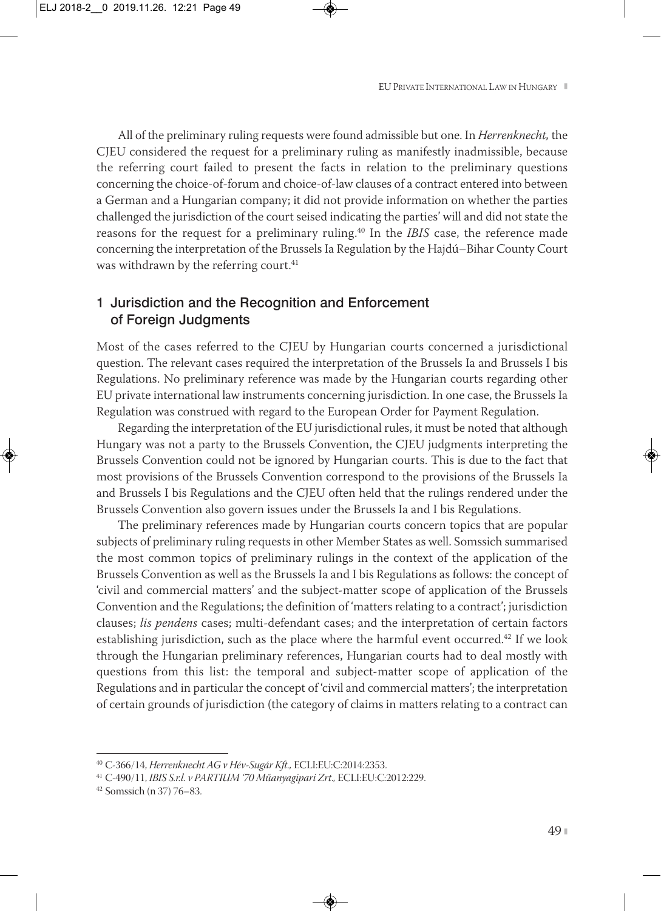All of the preliminary ruling requests were found admissible but one. In *Herrenknecht,* the CJEU considered the request for a preliminary ruling as manifestly inadmissible, because the referring court failed to present the facts in relation to the preliminary questions concerning the choice-of-forum and choice-of-law clauses of a contract entered into between a German and a Hungarian company; it did not provide information on whether the parties challenged the jurisdiction of the court seised indicating the parties' will and did not state the reasons for the request for a preliminary ruling.40 In the *IBIS* case, the reference made concerning the interpretation of the Brussels Ia Regulation by the Hajdú–Bihar County Court was withdrawn by the referring court.<sup>41</sup>

## 1 Jurisdiction and the Recognition and Enforcement of Foreign Judgments

Most of the cases referred to the CJEU by Hungarian courts concerned a jurisdictional question. The relevant cases required the interpretation of the Brussels Ia and Brussels I bis Regulations. No preliminary reference was made by the Hungarian courts regarding other EU private international law instruments concerning jurisdiction. In one case, the Brussels Ia Regulation was construed with regard to the European Order for Payment Regulation.

Regarding the interpretation of the EU jurisdictional rules, it must be noted that although Hungary was not a party to the Brussels Convention, the CJEU judgments interpreting the Brussels Convention could not be ignored by Hungarian courts. This is due to the fact that most provisions of the Brussels Convention correspond to the provisions of the Brussels Ia and Brussels I bis Regulations and the CJEU often held that the rulings rendered under the Brussels Convention also govern issues under the Brussels Ia and I bis Regulations.

The preliminary references made by Hungarian courts concern topics that are popular subjects of preliminary ruling requests in other Member States as well. Somssich summarised the most common topics of preliminary rulings in the context of the application of the Brussels Convention as well as the Brussels Ia and I bis Regulations as follows: the concept of 'civil and commercial matters' and the subject-matter scope of application of the Brussels Convention and the Regulations; the definition of 'matters relating to a contract'; jurisdiction clauses; *lis pendens* cases; multi-defendant cases; and the interpretation of certain factors establishing jurisdiction, such as the place where the harmful event occurred.42 If we look through the Hungarian preliminary references, Hungarian courts had to deal mostly with questions from this list: the temporal and subject-matter scope of application of the Regulations and in particular the concept of 'civil and commercial matters'; the interpretation of certain grounds of jurisdiction (the category of claims in matters relating to a contract can

<sup>40</sup> C-366/14, *Herrenknecht AG v Hév-Sugár Kft.,* ECLI:EU:C:2014:2353.

<sup>41</sup> C-490/11, *IBIS S.r.l. v PARTIUM '70 Műanyagipari Zrt*.*,* ECLI:EU:C:2012:229.

<sup>42</sup> Somssich (n 37) 76–83.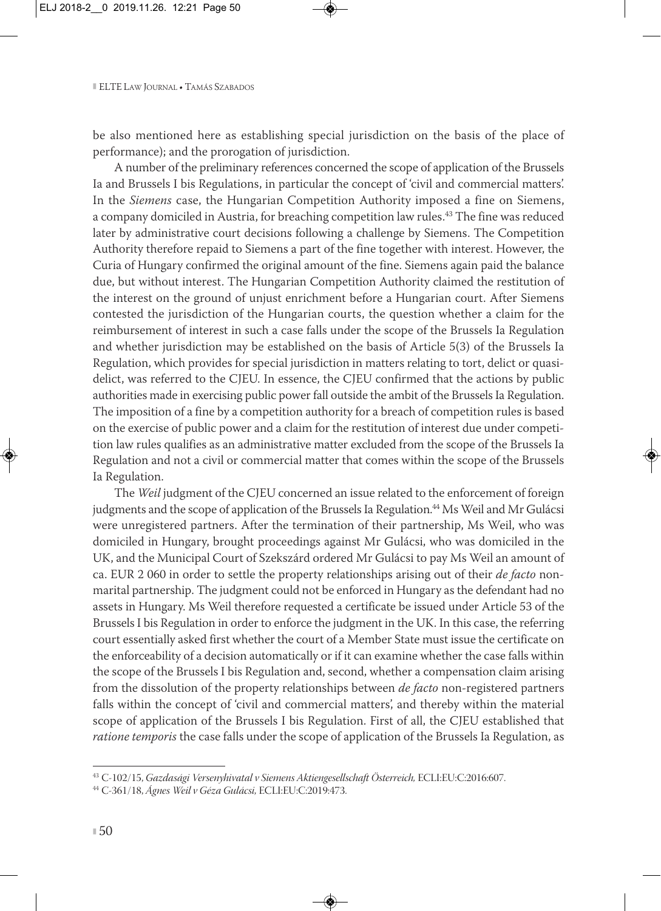be also mentioned here as establishing special jurisdiction on the basis of the place of performance); and the prorogation of jurisdiction.

A number of the preliminary references concerned the scope of application of the Brussels Ia and Brussels I bis Regulations, in particular the concept of 'civil and commercial matters'. In the *Siemens* case, the Hungarian Competition Authority imposed a fine on Siemens, a company domiciled in Austria, for breaching competition law rules.<sup>43</sup> The fine was reduced later by administrative court decisions following a challenge by Siemens. The Competition Authority therefore repaid to Siemens a part of the fine together with interest. However, the Curia of Hungary confirmed the original amount of the fine. Siemens again paid the balance due, but without interest. The Hungarian Competition Authority claimed the restitution of the interest on the ground of unjust enrichment before a Hungarian court. After Siemens contested the jurisdiction of the Hungarian courts, the question whether a claim for the reimbursement of interest in such a case falls under the scope of the Brussels Ia Regulation and whether jurisdiction may be established on the basis of Article 5(3) of the Brussels Ia Regulation, which provides for special jurisdiction in matters relating to tort, delict or quasidelict, was referred to the CJEU. In essence, the CJEU confirmed that the actions by public authorities made in exercising public power fall outside the ambit of the Brussels Ia Regulation. The imposition of a fine by a competition authority for a breach of competition rules is based on the exercise of public power and a claim for the restitution of interest due under competi tion law rules qualifies as an administrative matter excluded from the scope of the Brussels Ia Regulation and not a civil or commercial matter that comes within the scope of the Brussels Ia Regulation.

The *Weil* judgment of the CJEU concerned an issue related to the enforcement of foreign judgments and the scope of application of the Brussels Ia Regulation.<sup>44</sup> Ms Weil and Mr Gulácsi were unregistered partners. After the termination of their partnership, Ms Weil, who was domiciled in Hungary, brought proceedings against Mr Gulácsi, who was domiciled in the UK, and the Municipal Court of Szekszárd ordered Mr Gulácsi to pay Ms Weil an amount of ca. EUR 2 060 in order to settle the property relationships arising out of their *de facto* nonmarital partnership. The judgment could not be enforced in Hungary as the defendant had no assets in Hungary. Ms Weil therefore requested a certificate be issued under Article 53 of the Brussels I bis Regulation in order to enforce the judgment in the UK. In this case, the referring court essentially asked first whether the court of a Member State must issue the certificate on the enforceability of a decision automatically or if it can examine whether the case falls within the scope of the Brussels I bis Regulation and, second, whether a compensation claim arising from the dissolution of the property relationships between *de facto* non-registered partners falls within the concept of 'civil and commercial matters', and thereby within the material scope of application of the Brussels I bis Regulation. First of all, the CJEU established that *ratione temporis* the case falls under the scope of application of the Brussels Ia Regulation, as

<sup>43</sup> C-102/15, *Gazdasági Versenyhivatal v Siemens Aktiengesellschaft Österreich,* ECLI:EU:C:2016:607.

<sup>44</sup> C-361/18, *Ágnes Weil v Géza Gulácsi,* ECLI:EU:C:2019:473.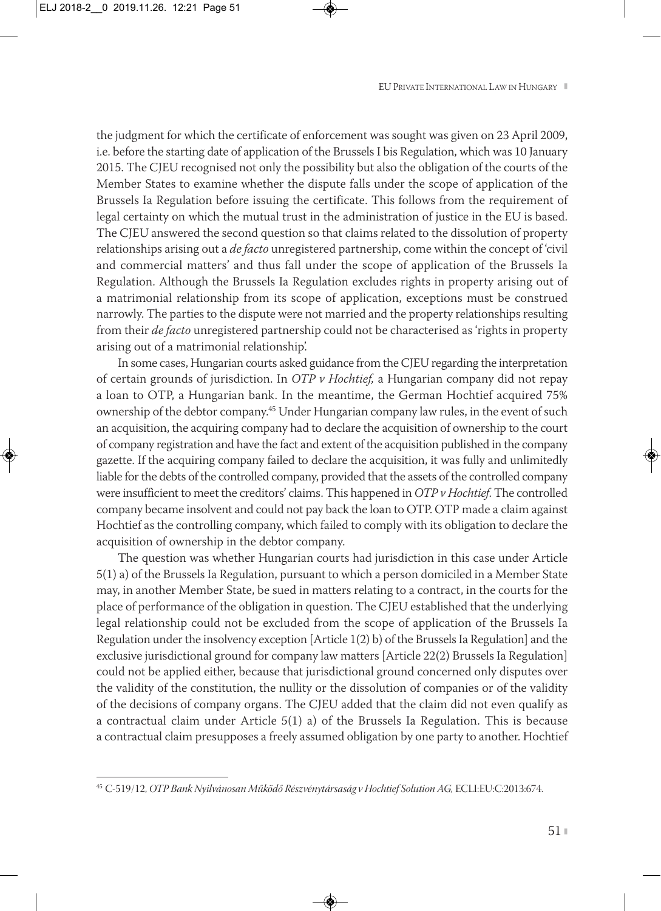the judgment for which the certificate of enforcement was sought was given on 23 April 2009, i.e. before the starting date of application of the Brussels I bis Regulation, which was 10 January 2015. The CJEU recognised not only the possibility but also the obligation of the courts of the Member States to examine whether the dispute falls under the scope of application of the Brussels Ia Regulation before issuing the certificate. This follows from the requirement of legal certainty on which the mutual trust in the administration of justice in the EU is based. The CJEU answered the second question so that claims related to the dissolution of property relationships arising out a *de facto* unregistered partnership, come within the concept of 'civil and commercial matters' and thus fall under the scope of application of the Brussels Ia Regulation. Although the Brussels Ia Regulation excludes rights in property arising out of a matrimonial relationship from its scope of application, exceptions must be construed narrowly. The parties to the dispute were not married and the property relationships resulting from their *de facto* unregistered partnership could not be characterised as 'rights in property arising out of a matrimonial relationship'.

In some cases, Hungarian courts asked guidance from the CJEU regarding the interpretation of certain grounds of jurisdiction. In *OTP v Hochtief,* a Hungarian company did not repay a loan to OTP, a Hungarian bank. In the meantime, the German Hochtief acquired 75% ownership of the debtor company.45 Under Hungarian company law rules, in the event of such an acquisition, the acquiring company had to declare the acquisition of ownership to the court of company registration and have the fact and extent of the acquisition published in the company gazette. If the acquiring company failed to declare the acquisition, it was fully and unlimitedly liable for the debts of the controlled company, provided that the assets of the controlled company were insufficient to meet the creditors' claims. This happened in *OTP v Hochtief*. The controlled company became insolvent and could not pay back the loan to OTP. OTP made a claim against Hochtief as the controlling company, which failed to comply with its obligation to declare the acquisition of ownership in the debtor company.

The question was whether Hungarian courts had jurisdiction in this case under Article 5(1) a) of the Brussels Ia Regulation, pursuant to which a person domiciled in a Member State may, in another Member State, be sued in matters relating to a contract, in the courts for the place of performance of the obligation in question. The CJEU established that the underlying legal relationship could not be excluded from the scope of application of the Brussels Ia Regulation under the insolvency exception [Article 1(2) b) of the Brussels Ia Regulation] and the exclusive jurisdictional ground for company law matters [Article 22(2) Brussels Ia Regulation] could not be applied either, because that jurisdictional ground concerned only disputes over the validity of the constitution, the nullity or the dissolution of companies or of the validity of the decisions of company organs. The CJEU added that the claim did not even qualify as a contractual claim under Article 5(1) a) of the Brussels Ia Regulation. This is because a contractual claim presupposes a freely assumed obligation by one party to another. Hochtief

<sup>45</sup> C-519/12, *OTP Bank Nyilvánosan Működő Részvénytársaság v Hochtief Solution AG,* ECLI:EU:C:2013:674.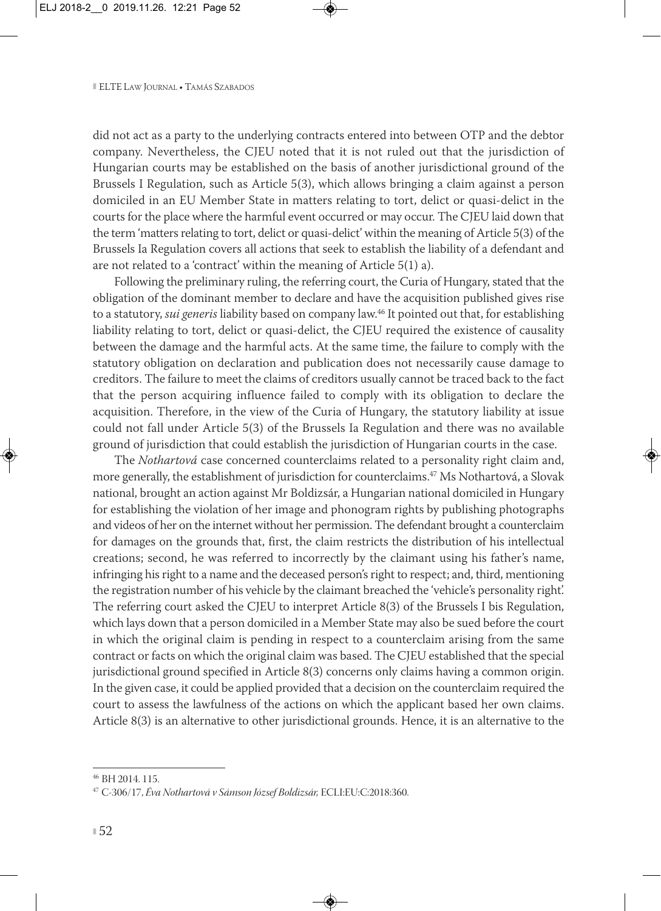did not act as a party to the underlying contracts entered into between OTP and the debtor company. Nevertheless, the CJEU noted that it is not ruled out that the jurisdiction of Hungarian courts may be established on the basis of another jurisdictional ground of the Brussels I Regulation, such as Article 5(3), which allows bringing a claim against a person domiciled in an EU Member State in matters relating to tort, delict or quasi-delict in the courts for the place where the harmful event occurred or may occur. The CJEU laid down that the term 'matters relating to tort, delict or quasi-delict' within the meaning of Article 5(3) of the Brussels Ia Regulation covers all actions that seek to establish the liability of a defendant and are not related to a 'contract' within the meaning of Article 5(1) a).

Following the preliminary ruling, the referring court, the Curia of Hungary, stated that the obligation of the dominant member to declare and have the acquisition published gives rise to a statutory, *sui generis* liability based on company law.46 It pointed out that, for establishing liability relating to tort, delict or quasi-delict, the CJEU required the existence of causality between the damage and the harmful acts. At the same time, the failure to comply with the statutory obligation on declaration and publication does not necessarily cause damage to creditors. The failure to meet the claims of creditors usually cannot be traced back to the fact that the person acquiring influence failed to comply with its obligation to declare the acquisition. Therefore, in the view of the Curia of Hungary, the statutory liability at issue could not fall under Article 5(3) of the Brussels Ia Regulation and there was no available ground of jurisdiction that could establish the jurisdiction of Hungarian courts in the case.

The *Nothartová* case concerned counterclaims related to a personality right claim and, more generally, the establishment of jurisdiction for counterclaims.47 Ms Nothartová, a Slovak national, brought an action against Mr Boldizsár, a Hungarian national domiciled in Hungary for establishing the violation of her image and phonogram rights by publishing photographs and videos of her on the internet without her permission. The defendant brought a counterclaim for damages on the grounds that, first, the claim restricts the distribution of his intellectual creations; second, he was referred to incorrectly by the claimant using his father's name, infringing his right to a name and the deceased person's right to respect; and, third, mentioning the registration number of his vehicle by the claimant breached the 'vehicle's personality right'. The referring court asked the CJEU to interpret Article 8(3) of the Brussels I bis Regulation, which lays down that a person domiciled in a Member State may also be sued before the court in which the original claim is pending in respect to a counterclaim arising from the same contract or facts on which the original claim was based. The CJEU established that the special jurisdictional ground specified in Article 8(3) concerns only claims having a common origin. In the given case, it could be applied provided that a decision on the counterclaim required the court to assess the lawfulness of the actions on which the applicant based her own claims. Article 8(3) is an alternative to other jurisdictional grounds. Hence, it is an alternative to the

<sup>46</sup> BH 2014. 115.

<sup>47</sup> C-306/17, *Éva Nothartová v Sámson József Boldizsár,* ECLI:EU:C:2018:360.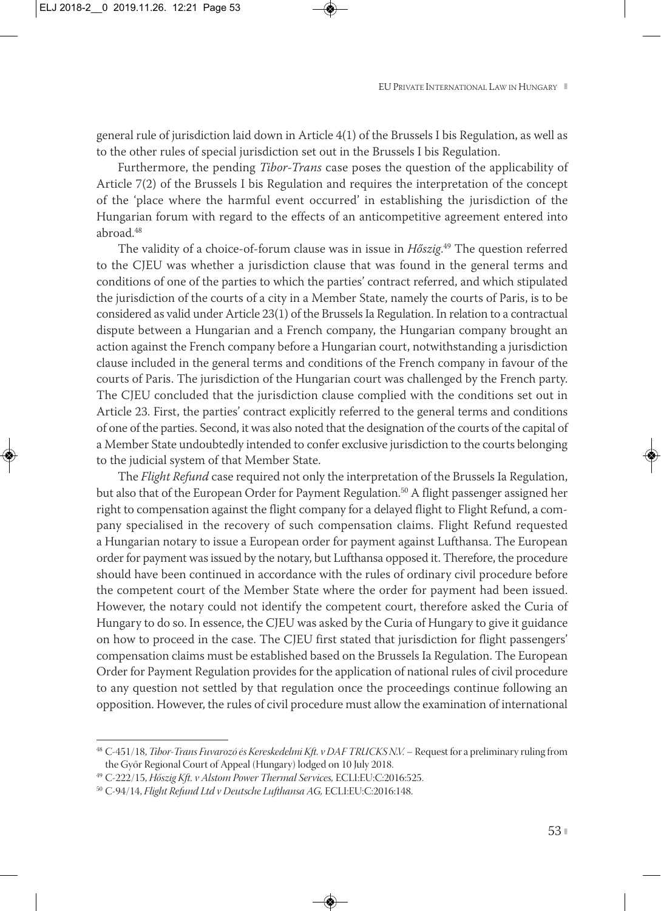general rule of jurisdiction laid down in Article 4(1) of the Brussels I bis Regulation, as well as to the other rules of special jurisdiction set out in the Brussels I bis Regulation.

Furthermore, the pending *Tibor-Trans* case poses the question of the applicability of Article 7(2) of the Brussels I bis Regulation and requires the interpretation of the concept of the 'place where the harmful event occurred' in establishing the jurisdiction of the Hungarian forum with regard to the effects of an anticompetitive agreement entered into abroad.48

The validity of a choice-of-forum clause was in issue in *Hőszig*. <sup>49</sup> The question referred to the CJEU was whether a jurisdiction clause that was found in the general terms and conditions of one of the parties to which the parties' contract referred, and which stipulated the jurisdiction of the courts of a city in a Member State, namely the courts of Paris, is to be considered as valid under Article 23(1) of the Brussels Ia Regulation. In relation to a contractual dispute between a Hungarian and a French company, the Hungarian company brought an action against the French company before a Hungarian court, notwithstanding a jurisdiction clause included in the general terms and conditions of the French company in favour of the courts of Paris. The jurisdiction of the Hungarian court was challenged by the French party. The CJEU concluded that the jurisdiction clause complied with the conditions set out in Article 23. First, the parties' contract explicitly referred to the general terms and conditions of one of the parties. Second, it was also noted that the designation of the courts of the capital of a Member State undoubtedly intended to confer exclusive jurisdiction to the courts belonging to the judicial system of that Member State.

The *Flight Refund* case required not only the interpretation of the Brussels Ia Regulation, but also that of the European Order for Payment Regulation.<sup>50</sup> A flight passenger assigned her right to compensation against the flight company for a delayed flight to Flight Refund, a company specialised in the recovery of such compensation claims. Flight Refund requested a Hungarian notary to issue a European order for payment against Lufthansa. The European order for payment was issued by the notary, but Lufthansa opposed it. Therefore, the procedure should have been continued in accordance with the rules of ordinary civil procedure before the competent court of the Member State where the order for payment had been issued. However, the notary could not identify the competent court, therefore asked the Curia of Hungary to do so. In essence, the CJEU was asked by the Curia of Hungary to give it guidance on how to proceed in the case. The CJEU first stated that jurisdiction for flight passengers' compensation claims must be established based on the Brussels Ia Regulation. The European Order for Payment Regulation provides for the application of national rules of civil procedure to any question not settled by that regulation once the proceedings continue following an opposition. However, the rules of civil procedure must allow the examination of international

<sup>48</sup> C-451/18, *Tibor-Trans Fuvarozó és Kereskedelmi Kft. v DAF TRUCKS N.V.* – Request for a preliminary ruling from the Győr Regional Court of Appeal (Hungary) lodged on 10 July 2018.

<sup>49</sup> C-222/15, *Hőszig Kft. v Alstom Power Thermal Services,* ECLI:EU:C:2016:525.

<sup>50</sup> C-94/14, *Flight Refund Ltd v Deutsche Lufthansa AG,* ECLI:EU:C:2016:148.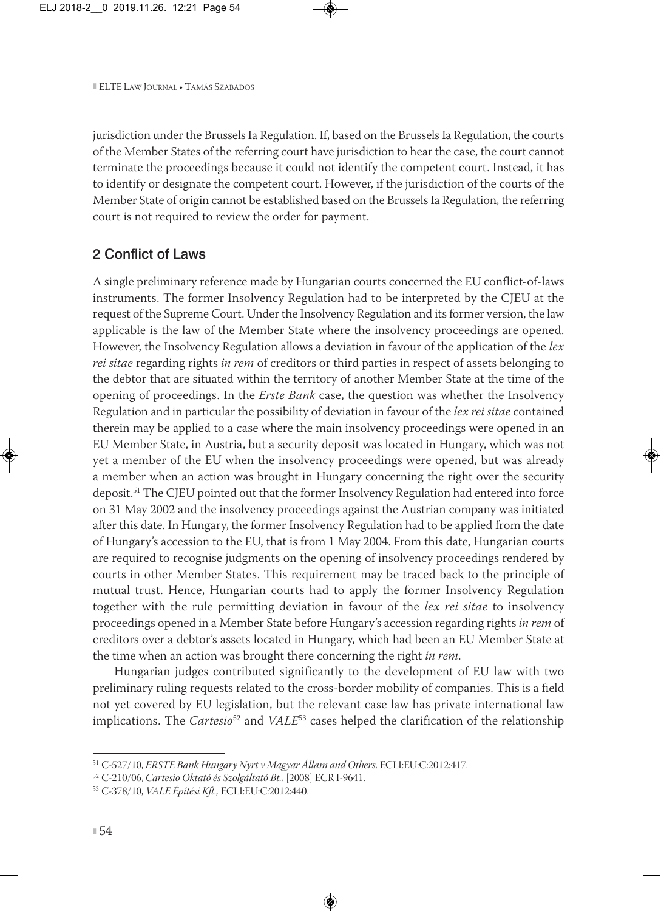jurisdiction under the Brussels Ia Regulation. If, based on the Brussels Ia Regulation, the courts of the Member States of the referring court have jurisdiction to hear the case, the court cannot terminate the proceedings because it could not identify the competent court. Instead, it has to identify or designate the competent court. However, if the jurisdiction of the courts of the Member State of origin cannot be established based on the Brussels Ia Regulation, the referring court is not required to review the order for payment.

#### 2 Conflict of Laws

A single preliminary reference made by Hungarian courts concerned the EU conflict-of-laws instruments. The former Insolvency Regulation had to be interpreted by the CJEU at the request of the Supreme Court. Under the Insolvency Regulation and its former version, the law applicable is the law of the Member State where the insolvency proceedings are opened. However, the Insolvency Regulation allows a deviation in favour of the application of the *lex rei sitae* regarding rights *in rem* of creditors or third parties in respect of assets belonging to the debtor that are situated within the territory of another Member State at the time of the opening of proceedings. In the *Erste Bank* case, the question was whether the Insolvency Regulation and in particular the possibility of deviation in favour of the *lex rei sitae* contained therein may be applied to a case where the main insolvency proceedings were opened in an EU Member State, in Austria, but a security deposit was located in Hungary, which was not yet a member of the EU when the insolvency proceedings were opened, but was already a member when an action was brought in Hungary concerning the right over the security deposit.51 The CJEU pointed out that the former Insolvency Regulation had entered into force on 31 May 2002 and the insolvency proceedings against the Austrian company was initiated after this date. In Hungary, the former Insolvency Regulation had to be applied from the date of Hungary's accession to the EU, that is from 1 May 2004. From this date, Hungarian courts are required to recognise judgments on the opening of insolvency proceedings rendered by courts in other Member States. This requirement may be traced back to the principle of mutual trust. Hence, Hungarian courts had to apply the former Insolvency Regulation together with the rule permitting deviation in favour of the *lex rei sitae* to insolvency proceedings opened in a Member State before Hungary's accession regarding rights *in rem* of creditors over a debtor's assets located in Hungary, which had been an EU Member State at the time when an action was brought there concerning the right *in rem*.

Hungarian judges contributed significantly to the development of EU law with two preliminary ruling requests related to the cross-border mobility of companies. This is a field not yet covered by EU legislation, but the relevant case law has private international law implications. The *Cartesio*<sup>52</sup> and *VALE*<sup>53</sup> cases helped the clarification of the relationship

<sup>51</sup> C-527/10, *ERSTE Bank Hungary Nyrt v Magyar Állam and Others,* ECLI:EU:C:2012:417.

<sup>52</sup> C-210/06, *Cartesio Oktató és Szolgáltató Bt.,* [2008] ECR I-9641.

<sup>53</sup> C-378/10, *VALE Építési Kft.,* ECLI:EU:C:2012:440.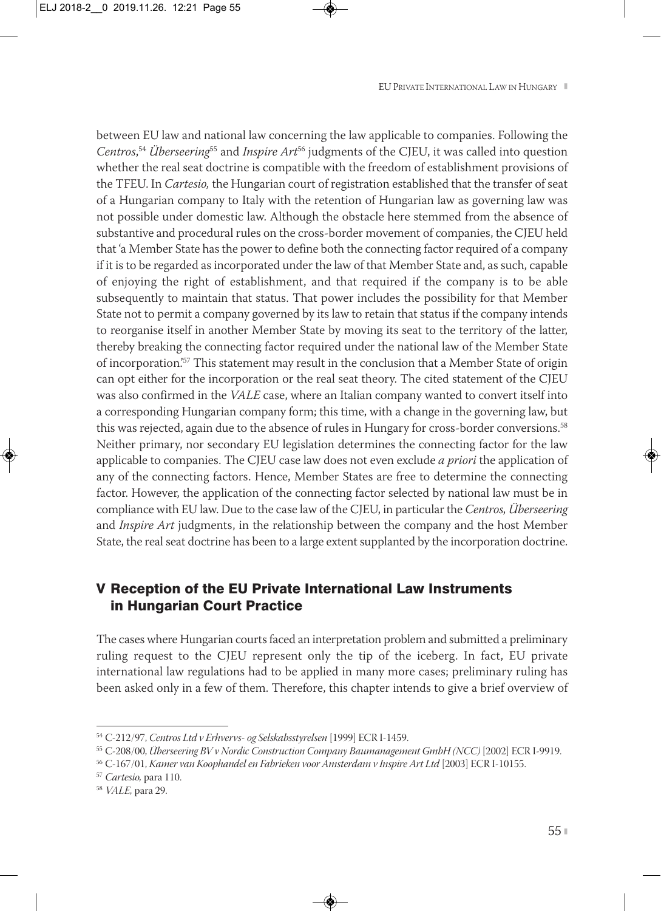between EU law and national law concerning the law applicable to companies. Following the *Centros*, <sup>54</sup> *Überseering*<sup>55</sup> and *Inspire Art*<sup>56</sup> judgments of the CJEU, it was called into question whether the real seat doctrine is compatible with the freedom of establishment provisions of the TFEU. In *Cartesio,* the Hungarian court of registration established that the transfer of seat of a Hungarian company to Italy with the retention of Hungarian law as governing law was not possible under domestic law. Although the obstacle here stemmed from the absence of substantive and procedural rules on the cross-border movement of companies, the CJEU held that 'a Member State has the power to define both the connecting factor required of a company if it is to be regarded as incorporated under the law of that Member State and, as such, capable of enjoying the right of establishment, and that required if the company is to be able subsequently to maintain that status. That power includes the possibility for that Member State not to permit a company governed by its law to retain that status if the company intends to reorganise itself in another Member State by moving its seat to the territory of the latter, thereby breaking the connecting factor required under the national law of the Member State of incorporation.'57 This statement may result in the conclusion that a Member State of origin can opt either for the incorporation or the real seat theory. The cited statement of the CJEU was also confirmed in the *VALE* case, where an Italian company wanted to convert itself into a corresponding Hungarian company form; this time, with a change in the governing law, but this was rejected, again due to the absence of rules in Hungary for cross-border conversions.58 Neither primary, nor secondary EU legislation determines the connecting factor for the law applicable to companies. The CJEU case law does not even exclude *a priori* the application of any of the connecting factors. Hence, Member States are free to determine the connecting factor. However, the application of the connecting factor selected by national law must be in compliance with EU law. Due to the case law of the CJEU, in particular the *Centros, Überseering* and *Inspire Art* judgments, in the relationship between the company and the host Member State, the real seat doctrine has been to a large extent supplanted by the incorporation doctrine.

## V Reception of the EU Private International Law Instruments in Hungarian Court Practice

The cases where Hungarian courts faced an interpretation problem and submitted a preliminary ruling request to the CJEU represent only the tip of the iceberg. In fact, EU private international law regulations had to be applied in many more cases; preliminary ruling has been asked only in a few of them. Therefore, this chapter intends to give a brief overview of

<sup>54</sup> C-212/97, *Centros Ltd v Erhvervs- og Selskabsstyrelsen* [1999] ECR I-1459.

<sup>55</sup> C-208/00, *Überseering BV v Nordic Construction Company Baumanagement GmbH (NCC)* [2002] ECR I-9919.

<sup>56</sup> C-167/01, *Kamer van Koophandel en Fabrieken voor Amsterdam v Inspire Art Ltd* [2003] ECR I-10155.

<sup>57</sup> *Cartesio,* para 110.

<sup>58</sup> *VALE,* para 29.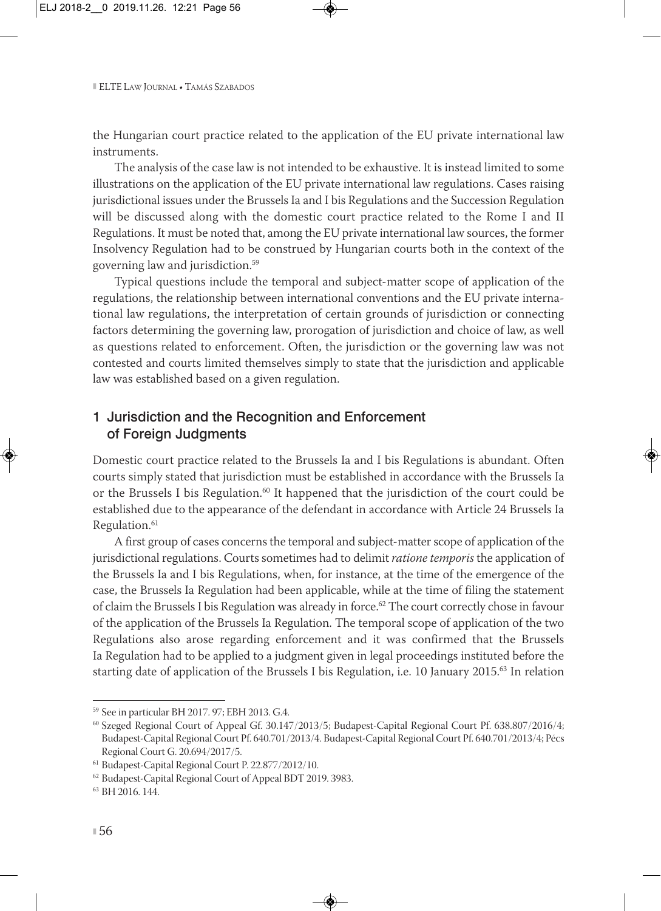the Hungarian court practice related to the application of the EU private international law instruments.

The analysis of the case law is not intended to be exhaustive. It is instead limited to some illustrations on the application of the EU private international law regulations. Cases raising jurisdictional issues under the Brussels Ia and I bis Regulations and the Succession Regulation will be discussed along with the domestic court practice related to the Rome I and II Regulations. It must be noted that, among the EU private international law sources, the former Insolvency Regulation had to be construed by Hungarian courts both in the context of the governing law and jurisdiction.59

Typical questions include the temporal and subject-matter scope of application of the regulations, the relationship between international conventions and the EU private interna tional law regulations, the interpretation of certain grounds of jurisdiction or connecting factors determining the governing law, prorogation of jurisdiction and choice of law, as well as questions related to enforcement. Often, the jurisdiction or the governing law was not contested and courts limited themselves simply to state that the jurisdiction and applicable law was established based on a given regulation.

## 1 Jurisdiction and the Recognition and Enforcement of Foreign Judgments

Domestic court practice related to the Brussels Ia and I bis Regulations is abundant. Often courts simply stated that jurisdiction must be established in accordance with the Brussels Ia or the Brussels I bis Regulation.<sup>60</sup> It happened that the jurisdiction of the court could be established due to the appearance of the defendant in accordance with Article 24 Brussels Ia Regulation.<sup>61</sup>

A first group of cases concerns the temporal and subject-matter scope of application of the jurisdictional regulations. Courts sometimes had to delimit *ratione temporis* the application of the Brussels Ia and I bis Regulations, when, for instance, at the time of the emergence of the case, the Brussels Ia Regulation had been applicable, while at the time of filing the statement of claim the Brussels I bis Regulation was already in force.<sup>62</sup> The court correctly chose in favour of the application of the Brussels Ia Regulation. The temporal scope of application of the two Regulations also arose regarding enforcement and it was confirmed that the Brussels Ia Regulation had to be applied to a judgment given in legal proceedings instituted before the starting date of application of the Brussels I bis Regulation, i.e. 10 January 2015.63 In relation

<sup>59</sup> See in particular BH 2017. 97; EBH 2013. G.4.

<sup>60</sup> Szeged Regional Court of Appeal Gf. 30.147/2013/5; Budapest-Capital Regional Court Pf. 638.807/2016/4; Budapest-Capital Regional Court Pf. 640.701/2013/4. Budapest-Capital Regional Court Pf. 640.701/2013/4; Pécs Regional Court G. 20.694/2017/5.

<sup>61</sup> Budapest-Capital Regional Court P. 22.877/2012/10.

<sup>62</sup> Budapest-Capital Regional Court of Appeal BDT 2019. 3983.

<sup>63</sup> BH 2016. 144.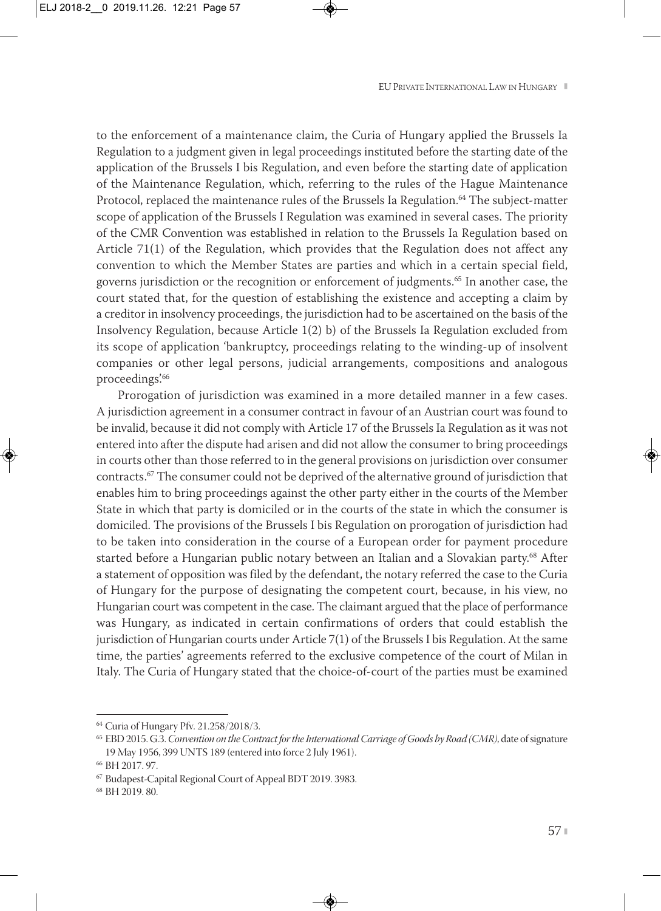to the enforcement of a maintenance claim, the Curia of Hungary applied the Brussels Ia Regulation to a judgment given in legal proceedings instituted before the starting date of the application of the Brussels I bis Regulation, and even before the starting date of application of the Maintenance Regulation, which, referring to the rules of the Hague Maintenance Protocol, replaced the maintenance rules of the Brussels Ia Regulation.<sup>64</sup> The subject-matter scope of application of the Brussels I Regulation was examined in several cases. The priority of the CMR Convention was established in relation to the Brussels Ia Regulation based on Article 71(1) of the Regulation, which provides that the Regulation does not affect any convention to which the Member States are parties and which in a certain special field, governs jurisdiction or the recognition or enforcement of judgments.65 In another case, the court stated that, for the question of establishing the existence and accepting a claim by a creditor in insolvency proceedings, the jurisdiction had to be ascertained on the basis of the Insolvency Regulation, because Article 1(2) b) of the Brussels Ia Regulation excluded from its scope of application 'bankruptcy, proceedings relating to the winding-up of insolvent companies or other legal persons, judicial arrangements, compositions and analogous proceedings'.66

Prorogation of jurisdiction was examined in a more detailed manner in a few cases. A jurisdiction agreement in a consumer contract in favour of an Austrian court was found to be invalid, because it did not comply with Article 17 of the Brussels Ia Regulation as it was not entered into after the dispute had arisen and did not allow the consumer to bring proceedings in courts other than those referred to in the general provisions on jurisdiction over consumer contracts.67 The consumer could not be deprived of the alternative ground of jurisdiction that enables him to bring proceedings against the other party either in the courts of the Member State in which that party is domiciled or in the courts of the state in which the consumer is domiciled. The provisions of the Brussels I bis Regulation on prorogation of jurisdiction had to be taken into consideration in the course of a European order for payment procedure started before a Hungarian public notary between an Italian and a Slovakian party.<sup>68</sup> After a statement of opposition was filed by the defendant, the notary referred the case to the Curia of Hungary for the purpose of designating the competent court, because, in his view, no Hungarian court was competent in the case. The claimant argued that the place of performance was Hungary, as indicated in certain confirmations of orders that could establish the jurisdiction of Hungarian courts under Article 7(1) of the Brussels I bis Regulation. At the same time, the parties' agreements referred to the exclusive competence of the court of Milan in Italy. The Curia of Hungary stated that the choice-of-court of the parties must be examined

<sup>64</sup> Curia of Hungary Pfv. 21.258/2018/3.

<sup>65</sup> EBD 2015. G.3. *Convention on the Contract for the International Carriage of Goods by Road (CMR)*, date of signature 19 May 1956, 399 UNTS 189 (entered into force 2 July 1961).

<sup>66</sup> BH 2017. 97.

<sup>67</sup> Budapest-Capital Regional Court of Appeal BDT 2019. 3983.

<sup>68</sup> BH 2019. 80.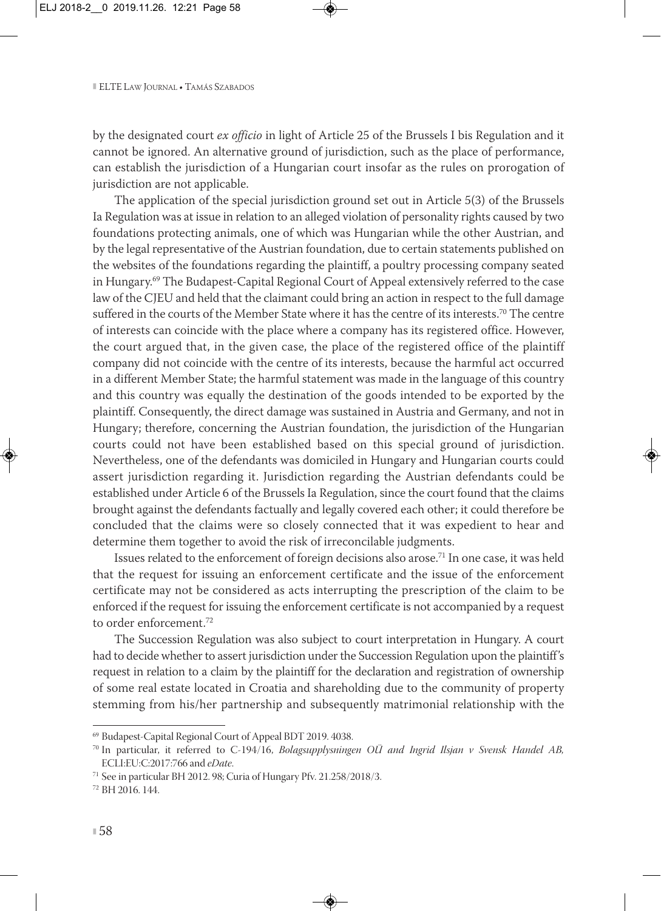by the designated court *ex officio* in light of Article 25 of the Brussels I bis Regulation and it cannot be ignored. An alternative ground of jurisdiction, such as the place of performance, can establish the jurisdiction of a Hungarian court insofar as the rules on prorogation of jurisdiction are not applicable.

The application of the special jurisdiction ground set out in Article 5(3) of the Brussels Ia Regulation was at issue in relation to an alleged violation of personality rights caused by two foundations protecting animals, one of which was Hungarian while the other Austrian, and by the legal representative of the Austrian foundation, due to certain statements published on the websites of the foundations regarding the plaintiff, a poultry processing company seated in Hungary.69 The Budapest-Capital Regional Court of Appeal extensively referred to the case law of the CJEU and held that the claimant could bring an action in respect to the full damage suffered in the courts of the Member State where it has the centre of its interests.<sup>70</sup> The centre of interests can coincide with the place where a company has its registered office. However, the court argued that, in the given case, the place of the registered office of the plaintiff company did not coincide with the centre of its interests, because the harmful act occurred in a different Member State; the harmful statement was made in the language of this country and this country was equally the destination of the goods intended to be exported by the plaintiff. Consequently, the direct damage was sustained in Austria and Germany, and not in Hungary; therefore, concerning the Austrian foundation, the jurisdiction of the Hungarian courts could not have been established based on this special ground of jurisdiction. Nevertheless, one of the defendants was domiciled in Hungary and Hungarian courts could assert jurisdiction regarding it. Jurisdiction regarding the Austrian defendants could be established under Article 6 of the Brussels Ia Regulation, since the court found that the claims brought against the defendants factually and legally covered each other; it could therefore be concluded that the claims were so closely connected that it was expedient to hear and determine them together to avoid the risk of irreconcilable judgments.

Issues related to the enforcement of foreign decisions also arose.<sup>71</sup> In one case, it was held that the request for issuing an enforcement certificate and the issue of the enforcement certificate may not be considered as acts interrupting the prescription of the claim to be enforced if the request for issuing the enforcement certificate is not accompanied by a request to order enforcement.72

The Succession Regulation was also subject to court interpretation in Hungary. A court had to decide whether to assert jurisdiction under the Succession Regulation upon the plaintiff's request in relation to a claim by the plaintiff for the declaration and registration of ownership of some real estate located in Croatia and shareholding due to the community of property stemming from his/her partnership and subsequently matrimonial relationship with the

<sup>69</sup> Budapest-Capital Regional Court of Appeal BDT 2019. 4038.

<sup>70</sup> In particular, it referred to C-194/16, *Bolagsupplysningen OÜ and Ingrid Ilsjan v Svensk Handel AB,* ECLI:EU:C:2017:766 and *eDate*.

<sup>71</sup> See in particular BH 2012. 98; Curia of Hungary Pfv. 21.258/2018/3.

<sup>72</sup> BH 2016. 144.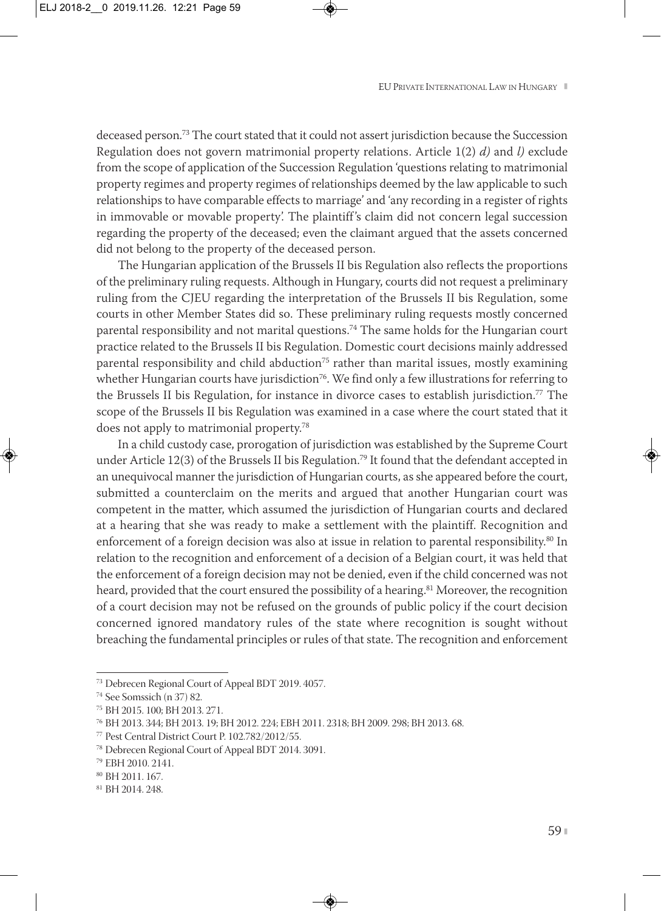deceased person.73 The court stated that it could not assert jurisdiction because the Succession Regulation does not govern matrimonial property relations. Article 1(2) *d)* and *l)* exclude from the scope of application of the Succession Regulation 'questions relating to matrimonial property regimes and property regimes of relationships deemed by the law applicable to such relationships to have comparable effects to marriage' and 'any recording in a register of rights in immovable or movable property'. The plaintiff's claim did not concern legal succession regarding the property of the deceased; even the claimant argued that the assets concerned did not belong to the property of the deceased person.

The Hungarian application of the Brussels II bis Regulation also reflects the proportions of the preliminary ruling requests. Although in Hungary, courts did not request a preliminary ruling from the CJEU regarding the interpretation of the Brussels II bis Regulation, some courts in other Member States did so. These preliminary ruling requests mostly concerned parental responsibility and not marital questions.<sup>74</sup> The same holds for the Hungarian court practice related to the Brussels II bis Regulation. Domestic court decisions mainly addressed parental responsibility and child abduction<sup>75</sup> rather than marital issues, mostly examining whether Hungarian courts have jurisdiction<sup>76</sup>. We find only a few illustrations for referring to the Brussels II bis Regulation, for instance in divorce cases to establish jurisdiction.77 The scope of the Brussels II bis Regulation was examined in a case where the court stated that it does not apply to matrimonial property.78

In a child custody case, prorogation of jurisdiction was established by the Supreme Court under Article 12(3) of the Brussels II bis Regulation.79 It found that the defendant accepted in an unequivocal manner the jurisdiction of Hungarian courts, as she appeared before the court, submitted a counterclaim on the merits and argued that another Hungarian court was competent in the matter, which assumed the jurisdiction of Hungarian courts and declared at a hearing that she was ready to make a settlement with the plaintiff. Recognition and enforcement of a foreign decision was also at issue in relation to parental responsibility.<sup>80</sup> In relation to the recognition and enforcement of a decision of a Belgian court, it was held that the enforcement of a foreign decision may not be denied, even if the child concerned was not heard, provided that the court ensured the possibility of a hearing.<sup>81</sup> Moreover, the recognition of a court decision may not be refused on the grounds of public policy if the court decision concerned ignored mandatory rules of the state where recognition is sought without breaching the fundamental principles or rules of that state. The recognition and enforcement

<sup>73</sup> Debrecen Regional Court of Appeal BDT 2019. 4057.

<sup>74</sup> See Somssich (n 37) 82.

<sup>75</sup> BH 2015. 100; BH 2013. 271.

<sup>76</sup> BH 2013. 344; BH 2013. 19; BH 2012. 224; EBH 2011. 2318; BH 2009. 298; BH 2013. 68.

<sup>77</sup> Pest Central District Court P. 102.782/2012/55.

<sup>78</sup> Debrecen Regional Court of Appeal BDT 2014. 3091.

<sup>79</sup> EBH 2010. 2141.

<sup>80</sup> BH 2011. 167.

<sup>81</sup> BH 2014. 248.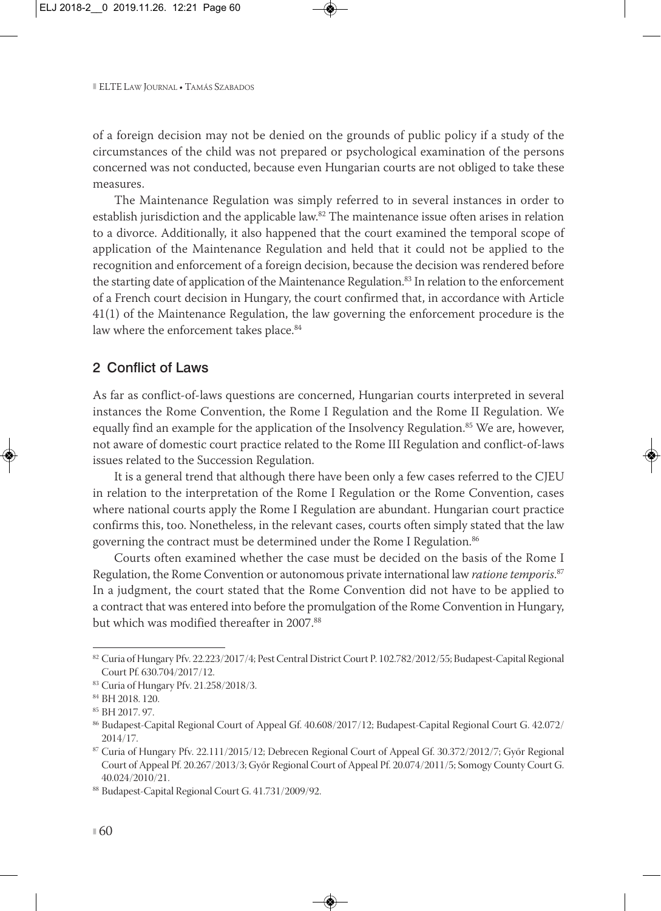of a foreign decision may not be denied on the grounds of public policy if a study of the circumstances of the child was not prepared or psychological examination of the persons concerned was not conducted, because even Hungarian courts are not obliged to take these measures.

The Maintenance Regulation was simply referred to in several instances in order to establish jurisdiction and the applicable law.<sup>82</sup> The maintenance issue often arises in relation to a divorce. Additionally, it also happened that the court examined the temporal scope of application of the Maintenance Regulation and held that it could not be applied to the recognition and enforcement of a foreign decision, because the decision was rendered before the starting date of application of the Maintenance Regulation.<sup>83</sup> In relation to the enforcement of a French court decision in Hungary, the court confirmed that, in accordance with Article 41(1) of the Maintenance Regulation, the law governing the enforcement procedure is the law where the enforcement takes place.<sup>84</sup>

#### 2 Conflict of Laws

As far as conflict-of-laws questions are concerned, Hungarian courts interpreted in several instances the Rome Convention, the Rome I Regulation and the Rome II Regulation. We equally find an example for the application of the Insolvency Regulation.<sup>85</sup> We are, however, not aware of domestic court practice related to the Rome III Regulation and conflict-of-laws issues related to the Succession Regulation.

It is a general trend that although there have been only a few cases referred to the CJEU in relation to the interpretation of the Rome I Regulation or the Rome Convention, cases where national courts apply the Rome I Regulation are abundant. Hungarian court practice confirms this, too. Nonetheless, in the relevant cases, courts often simply stated that the law governing the contract must be determined under the Rome I Regulation.<sup>86</sup>

Courts often examined whether the case must be decided on the basis of the Rome I Regulation, the Rome Convention or autonomous private international law *ratione temporis*. 87 In a judgment, the court stated that the Rome Convention did not have to be applied to a contract that was entered into before the promulgation of the Rome Convention in Hungary, but which was modified thereafter in 2007.88

<sup>82</sup> Curia of Hungary Pfv. 22.223/2017/4; Pest Central District Court P. 102.782/2012/55; Budapest-Capital Regional Court Pf. 630.704/2017/12.

<sup>83</sup> Curia of Hungary Pfv. 21.258/2018/3.

<sup>84</sup> BH 2018. 120.

<sup>85</sup> BH 2017. 97.

<sup>86</sup> Budapest-Capital Regional Court of Appeal Gf. 40.608/2017/12; Budapest-Capital Regional Court G. 42.072/ 2014/17.

<sup>87</sup> Curia of Hungary Pfv. 22.111/2015/12; Debrecen Regional Court of Appeal Gf. 30.372/2012/7; Győr Regional Court of Appeal Pf. 20.267/2013/3; Győr Regional Court of Appeal Pf. 20.074/2011/5; Somogy County Court G. 40.024/2010/21.

<sup>88</sup> Budapest-Capital Regional Court G. 41.731/2009/92.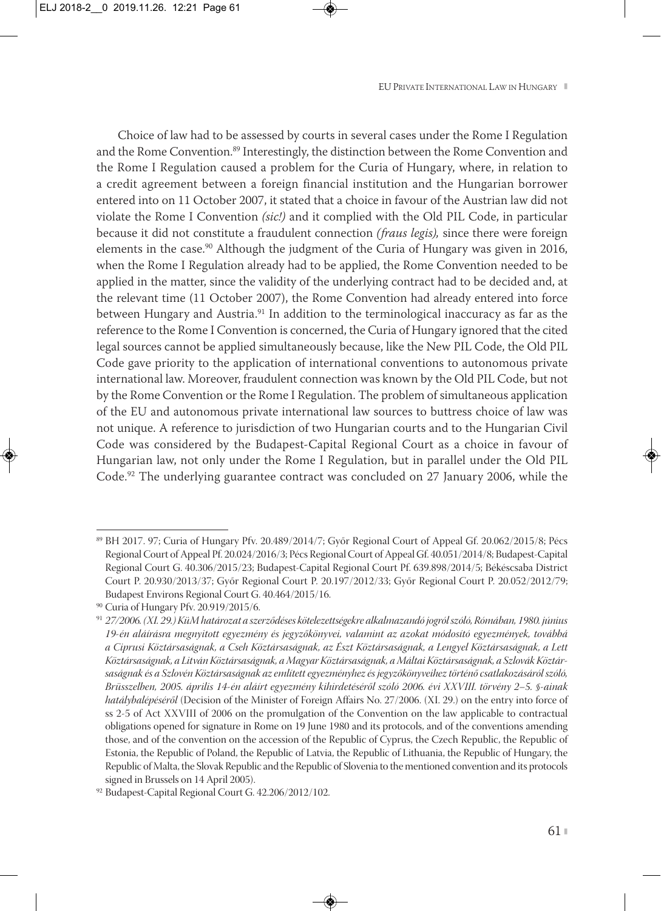Choice of law had to be assessed by courts in several cases under the Rome I Regulation and the Rome Convention.<sup>89</sup> Interestingly, the distinction between the Rome Convention and the Rome I Regulation caused a problem for the Curia of Hungary, where, in relation to a credit agreement between a foreign financial institution and the Hungarian borrower entered into on 11 October 2007, it stated that a choice in favour of the Austrian law did not violate the Rome I Convention *(sic!)* and it complied with the Old PIL Code, in particular because it did not constitute a fraudulent connection *(fraus legis),* since there were foreign elements in the case.<sup>90</sup> Although the judgment of the Curia of Hungary was given in 2016, when the Rome I Regulation already had to be applied, the Rome Convention needed to be applied in the matter, since the validity of the underlying contract had to be decided and, at the relevant time (11 October 2007), the Rome Convention had already entered into force between Hungary and Austria.<sup>91</sup> In addition to the terminological inaccuracy as far as the reference to the Rome I Convention is concerned, the Curia of Hungary ignored that the cited legal sources cannot be applied simultaneously because, like the New PIL Code, the Old PIL Code gave priority to the application of international conventions to autonomous private international law. Moreover, fraudulent connection was known by the Old PIL Code, but not by the Rome Convention or the Rome I Regulation. The problem of simultaneous application of the EU and autonomous private international law sources to buttress choice of law was not unique. A reference to jurisdiction of two Hungarian courts and to the Hungarian Civil Code was considered by the Budapest-Capital Regional Court as a choice in favour of Hungarian law, not only under the Rome I Regulation, but in parallel under the Old PIL Code.<sup>92</sup> The underlying guarantee contract was concluded on 27 January 2006, while the

<sup>89</sup> BH 2017. 97; Curia of Hungary Pfv. 20.489/2014/7; Győr Regional Court of Appeal Gf. 20.062/2015/8; Pécs Regional Court of Appeal Pf. 20.024/2016/3; Pécs Regional Court of Appeal Gf. 40.051/2014/8; Budapest-Capital Regional Court G. 40.306/2015/23; Budapest-Capital Regional Court Pf. 639.898/2014/5; Békéscsaba District Court P. 20.930/2013/37; Győr Regional Court P. 20.197/2012/33; Győr Regional Court P. 20.052/2012/79; Budapest Environs Regional Court G. 40.464/2015/16.

<sup>90</sup> Curia of Hungary Pfv. 20.919/2015/6.

<sup>91</sup> *27/2006. (XI. 29.) KüM határozat a szerződéses kötelezettségekre alkalmazandó jogról szóló, Rómában, 1980. június 19-én aláírásra megnyitott egyezmény és jegyzőkönyvei, valamint az azokat módosító egyezmények, továbbá a Ciprusi Köztársaságnak, a Cseh Köztársaságnak, az Észt Köztársaságnak, a Lengyel Köztársaságnak, a Lett Köztársaságnak, a Litván Köztársaságnak, a Magyar Köztársaságnak, a Máltai Köztársaságnak, a Szlovák Köztár saságnak és a Szlovén Köztársaságnak az említett egyezményhez és jegyzőkönyveihez történő csatlakozásáról szóló, Brüsszelben, 2005. április 14-én aláírt egyezmény kihirdetéséről szóló 2006. évi XXVIII. törvény 2–5. §-ainak hatálybalépéséről* (Decision of the Minister of Foreign Affairs No. 27/2006. (XI. 29.) on the entry into force of ss 2-5 of Act XXVIII of 2006 on the promulgation of the Convention on the law applicable to contractual obligations opened for signature in Rome on 19 June 1980 and its protocols, and of the conventions amending those, and of the convention on the accession of the Republic of Cyprus, the Czech Republic, the Republic of Estonia, the Republic of Poland, the Republic of Latvia, the Republic of Lithuania, the Republic of Hungary, the Republic of Malta, the Slovak Republic and the Republic of Slovenia to the mentioned convention and its protocols signed in Brussels on 14 April 2005).

<sup>92</sup> Budapest-Capital Regional Court G. 42.206/2012/102.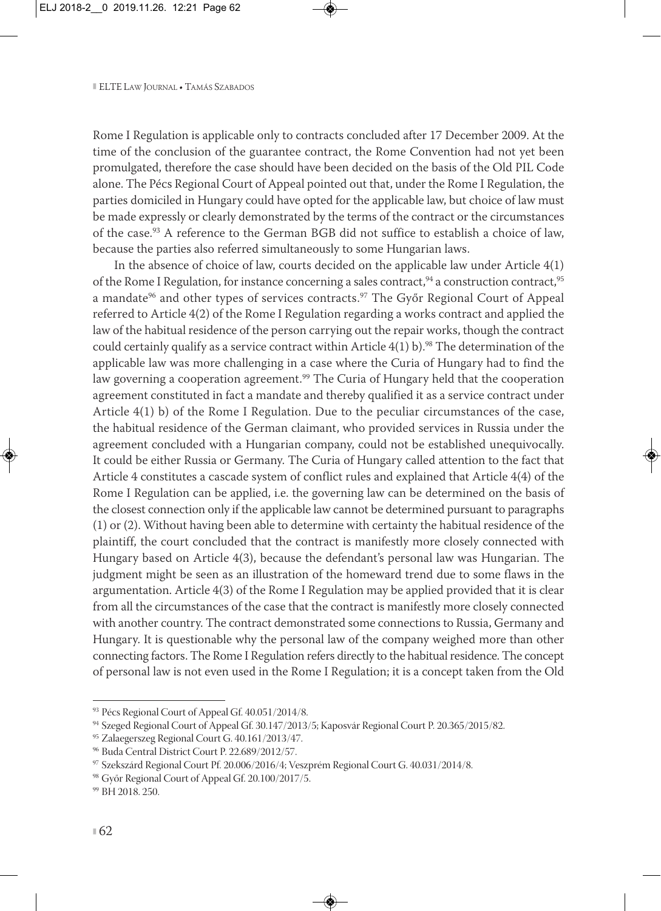Rome I Regulation is applicable only to contracts concluded after 17 December 2009. At the time of the conclusion of the guarantee contract, the Rome Convention had not yet been promulgated, therefore the case should have been decided on the basis of the Old PIL Code alone. The Pécs Regional Court of Appeal pointed out that, under the Rome I Regulation, the parties domiciled in Hungary could have opted for the applicable law, but choice of law must be made expressly or clearly demonstrated by the terms of the contract or the circumstances of the case.93 A reference to the German BGB did not suffice to establish a choice of law, because the parties also referred simultaneously to some Hungarian laws.

In the absence of choice of law, courts decided on the applicable law under Article 4(1) of the Rome I Regulation, for instance concerning a sales contract,  $94$  a construction contract,  $95$ a mandate<sup>96</sup> and other types of services contracts.<sup>97</sup> The Győr Regional Court of Appeal referred to Article 4(2) of the Rome I Regulation regarding a works contract and applied the law of the habitual residence of the person carrying out the repair works, though the contract could certainly qualify as a service contract within Article  $4(1)$  b).<sup>98</sup> The determination of the applicable law was more challenging in a case where the Curia of Hungary had to find the law governing a cooperation agreement.<sup>99</sup> The Curia of Hungary held that the cooperation agreement constituted in fact a mandate and thereby qualified it as a service contract under Article 4(1) b) of the Rome I Regulation. Due to the peculiar circumstances of the case, the habitual residence of the German claimant, who provided services in Russia under the agreement concluded with a Hungarian company, could not be established unequivocally. It could be either Russia or Germany. The Curia of Hungary called attention to the fact that Article 4 constitutes a cascade system of conflict rules and explained that Article 4(4) of the Rome I Regulation can be applied, i.e. the governing law can be determined on the basis of the closest connection only if the applicable law cannot be determined pursuant to paragraphs (1) or (2). Without having been able to determine with certainty the habitual residence of the plaintiff, the court concluded that the contract is manifestly more closely connected with Hungary based on Article 4(3), because the defendant's personal law was Hungarian. The judgment might be seen as an illustration of the homeward trend due to some flaws in the argumentation. Article 4(3) of the Rome I Regulation may be applied provided that it is clear from all the circumstances of the case that the contract is manifestly more closely connected with another country. The contract demonstrated some connections to Russia, Germany and Hungary. It is questionable why the personal law of the company weighed more than other connecting factors. The Rome I Regulation refers directly to the habitual residence. The concept of personal law is not even used in the Rome I Regulation; it is a concept taken from the Old

<sup>93</sup> Pécs Regional Court of Appeal Gf. 40.051/2014/8.

<sup>94</sup> Szeged Regional Court of Appeal Gf. 30.147/2013/5; Kaposvár Regional Court P. 20.365/2015/82.

<sup>95</sup> Zalaegerszeg Regional Court G. 40.161/2013/47.

<sup>96</sup> Buda Central District Court P. 22.689/2012/57.

<sup>97</sup> Szekszárd Regional Court Pf. 20.006/2016/4; Veszprém Regional Court G. 40.031/2014/8.

<sup>98</sup> Győr Regional Court of Appeal Gf. 20.100/2017/5.

<sup>99</sup> BH 2018. 250.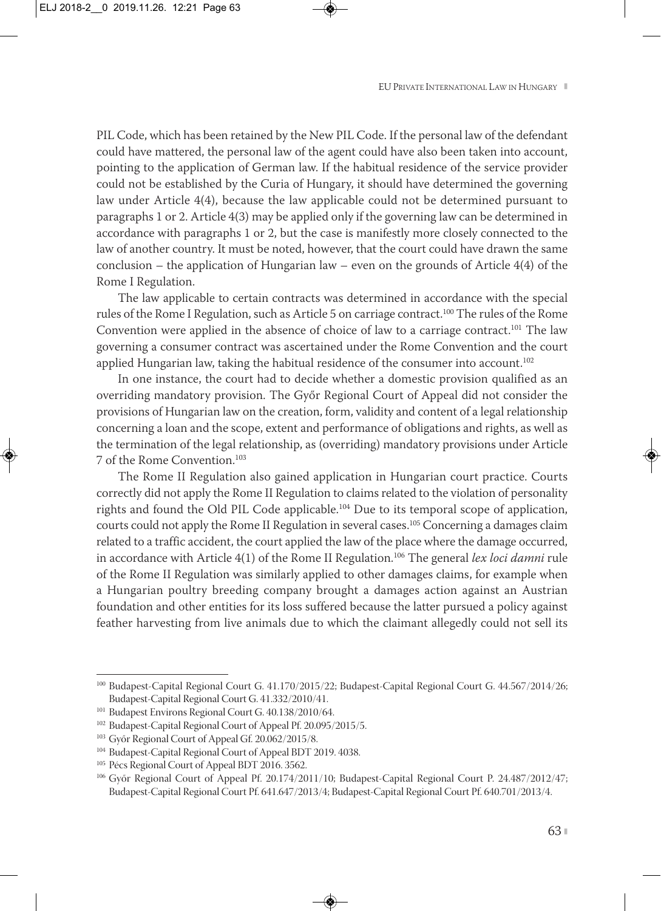PIL Code, which has been retained by the New PIL Code. If the personal law of the defendant could have mattered, the personal law of the agent could have also been taken into account, pointing to the application of German law. If the habitual residence of the service provider could not be established by the Curia of Hungary, it should have determined the governing law under Article 4(4), because the law applicable could not be determined pursuant to paragraphs 1 or 2. Article 4(3) may be applied only if the governing law can be determined in accordance with paragraphs 1 or 2, but the case is manifestly more closely connected to the law of another country. It must be noted, however, that the court could have drawn the same conclusion – the application of Hungarian law – even on the grounds of Article  $4(4)$  of the Rome I Regulation.

The law applicable to certain contracts was determined in accordance with the special rules of the Rome I Regulation, such as Article 5 on carriage contract.<sup>100</sup> The rules of the Rome Convention were applied in the absence of choice of law to a carriage contract.<sup>101</sup> The law governing a consumer contract was ascertained under the Rome Convention and the court applied Hungarian law, taking the habitual residence of the consumer into account.<sup>102</sup>

In one instance, the court had to decide whether a domestic provision qualified as an overriding mandatory provision. The Győr Regional Court of Appeal did not consider the provisions of Hungarian law on the creation, form, validity and content of a legal relationship concerning a loan and the scope, extent and performance of obligations and rights, as well as the termination of the legal relationship, as (overriding) mandatory provisions under Article 7 of the Rome Convention.103

The Rome II Regulation also gained application in Hungarian court practice. Courts correctly did not apply the Rome II Regulation to claims related to the violation of personality rights and found the Old PIL Code applicable.104 Due to its temporal scope of application, courts could not apply the Rome II Regulation in several cases.105 Concerning a damages claim related to a traffic accident, the court applied the law of the place where the damage occurred, in accordance with Article 4(1) of the Rome II Regulation.106 The general *lex loci damni* rule of the Rome II Regulation was similarly applied to other damages claims, for example when a Hungarian poultry breeding company brought a damages action against an Austrian foundation and other entities for its loss suffered because the latter pursued a policy against feather harvesting from live animals due to which the claimant allegedly could not sell its

<sup>100</sup> Budapest-Capital Regional Court G. 41.170/2015/22; Budapest-Capital Regional Court G. 44.567/2014/26; Budapest-Capital Regional Court G. 41.332/2010/41.

<sup>101</sup> Budapest Environs Regional Court G. 40.138/2010/64.

<sup>102</sup> Budapest-Capital Regional Court of Appeal Pf. 20.095/2015/5.

<sup>&</sup>lt;sup>103</sup> Győr Regional Court of Appeal Gf. 20.062/2015/8.

<sup>104</sup> Budapest-Capital Regional Court of Appeal BDT 2019. 4038.

<sup>&</sup>lt;sup>105</sup> Pécs Regional Court of Appeal BDT 2016. 3562.

<sup>&</sup>lt;sup>106</sup> Győr Regional Court of Appeal Pf. 20.174/2011/10; Budapest-Capital Regional Court P. 24.487/2012/47; Budapest-Capital Regional Court Pf. 641.647/2013/4; Budapest-Capital Regional Court Pf. 640.701/2013/4.